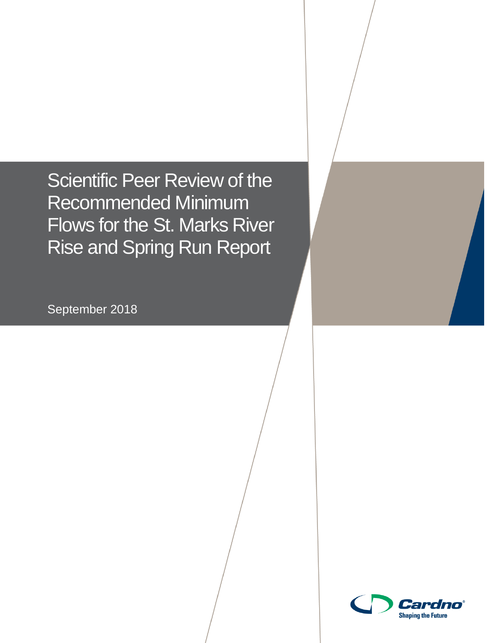Scientific Peer Review of the Recommended Minimum Flows for the St. Marks River Rise and Spring Run Report

September 2018



**Shaping the Future**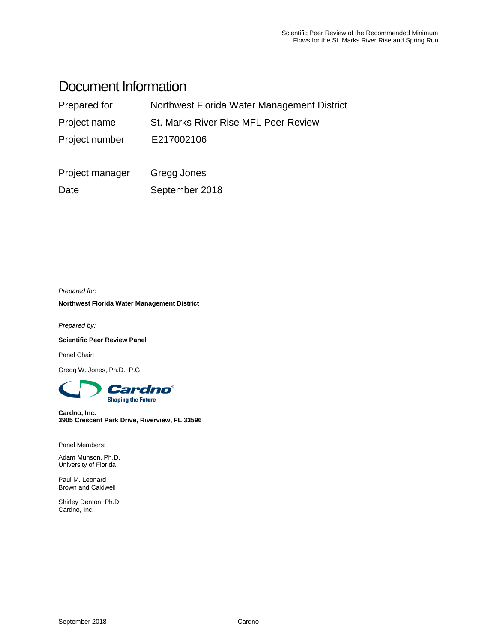# Document Information

| Prepared for    | Northwest Florida Water Management District |  |  |
|-----------------|---------------------------------------------|--|--|
| Project name    | <b>St. Marks River Rise MFL Peer Review</b> |  |  |
| Project number  | E217002106                                  |  |  |
| Project manager | Gregg Jones                                 |  |  |
| Date            | September 2018                              |  |  |

*Prepared for:*

**Northwest Florida Water Management District**

*Prepared by:*

**Scientific Peer Review Panel**

Panel Chair:

Gregg W. Jones, Ph.D., P.G.



**Cardno, Inc. 3905 Crescent Park Drive, Riverview, FL 33596**

Panel Members:

Adam Munson, Ph.D. University of Florida

Paul M. Leonard Brown and Caldwell

Shirley Denton, Ph.D. Cardno, Inc.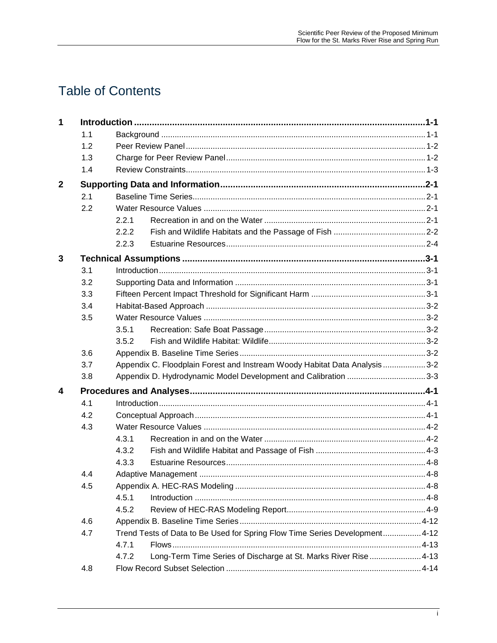# **Table of Contents**

| $\mathbf 1$  |     |                                                                             |                                                                |  |
|--------------|-----|-----------------------------------------------------------------------------|----------------------------------------------------------------|--|
|              | 1.1 |                                                                             |                                                                |  |
|              | 1.2 |                                                                             |                                                                |  |
|              | 1.3 |                                                                             |                                                                |  |
|              | 1.4 |                                                                             |                                                                |  |
| $\mathbf{2}$ |     |                                                                             |                                                                |  |
|              | 2.1 |                                                                             |                                                                |  |
|              | 2.2 |                                                                             |                                                                |  |
|              |     | 2.2.1                                                                       |                                                                |  |
|              |     | 2.2.2                                                                       |                                                                |  |
|              |     | 2.2.3                                                                       |                                                                |  |
| 3            |     |                                                                             |                                                                |  |
|              | 3.1 |                                                                             |                                                                |  |
|              | 3.2 |                                                                             |                                                                |  |
|              | 3.3 |                                                                             |                                                                |  |
|              | 3.4 |                                                                             |                                                                |  |
|              | 3.5 |                                                                             |                                                                |  |
|              |     | 3.5.1                                                                       |                                                                |  |
|              |     | 3.5.2                                                                       |                                                                |  |
|              | 3.6 |                                                                             |                                                                |  |
|              | 3.7 | Appendix C. Floodplain Forest and Instream Woody Habitat Data Analysis  3-2 |                                                                |  |
|              | 3.8 |                                                                             |                                                                |  |
| 4            |     |                                                                             |                                                                |  |
|              | 4.1 |                                                                             |                                                                |  |
|              | 4.2 |                                                                             |                                                                |  |
|              | 4.3 |                                                                             |                                                                |  |
|              |     | 4.3.1                                                                       |                                                                |  |
|              |     | 4.3.2                                                                       |                                                                |  |
|              |     | 4.3.3                                                                       |                                                                |  |
|              | 4.4 |                                                                             |                                                                |  |
|              | 4.5 |                                                                             |                                                                |  |
|              |     | 4.5.1                                                                       |                                                                |  |
|              |     | 4.5.2                                                                       |                                                                |  |
|              | 4.6 |                                                                             |                                                                |  |
|              | 4.7 | Trend Tests of Data to Be Used for Spring Flow Time Series Development 4-12 |                                                                |  |
|              |     | 4.7.1                                                                       |                                                                |  |
|              |     | 4.7.2                                                                       | Long-Term Time Series of Discharge at St. Marks River Rise4-13 |  |
|              | 4.8 |                                                                             |                                                                |  |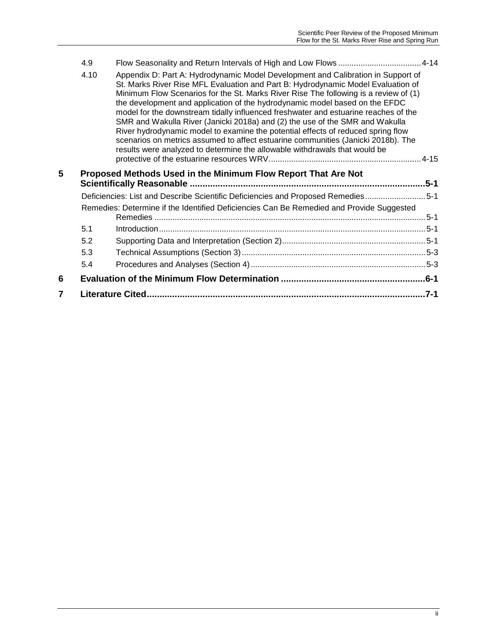|   | 4.9  |                                                                                                                                                                                                                                                                                                                                                                                                                                                                                                                                                                                                                                                                                                                                                                           |          |
|---|------|---------------------------------------------------------------------------------------------------------------------------------------------------------------------------------------------------------------------------------------------------------------------------------------------------------------------------------------------------------------------------------------------------------------------------------------------------------------------------------------------------------------------------------------------------------------------------------------------------------------------------------------------------------------------------------------------------------------------------------------------------------------------------|----------|
|   | 4.10 | Appendix D: Part A: Hydrodynamic Model Development and Calibration in Support of<br>St. Marks River Rise MFL Evaluation and Part B: Hydrodynamic Model Evaluation of<br>Minimum Flow Scenarios for the St. Marks River Rise The following is a review of (1)<br>the development and application of the hydrodynamic model based on the EFDC<br>model for the downstream tidally influenced freshwater and estuarine reaches of the<br>SMR and Wakulla River (Janicki 2018a) and (2) the use of the SMR and Wakulla<br>River hydrodynamic model to examine the potential effects of reduced spring flow<br>scenarios on metrics assumed to affect estuarine communities (Janicki 2018b). The<br>results were analyzed to determine the allowable withdrawals that would be |          |
| 5 |      | Proposed Methods Used in the Minimum Flow Report That Are Not                                                                                                                                                                                                                                                                                                                                                                                                                                                                                                                                                                                                                                                                                                             | .5-1     |
|   |      | Deficiencies: List and Describe Scientific Deficiencies and Proposed Remedies5-1                                                                                                                                                                                                                                                                                                                                                                                                                                                                                                                                                                                                                                                                                          |          |
|   |      | Remedies: Determine if the Identified Deficiencies Can Be Remedied and Provide Suggested                                                                                                                                                                                                                                                                                                                                                                                                                                                                                                                                                                                                                                                                                  |          |
|   |      |                                                                                                                                                                                                                                                                                                                                                                                                                                                                                                                                                                                                                                                                                                                                                                           |          |
|   | 5.1  |                                                                                                                                                                                                                                                                                                                                                                                                                                                                                                                                                                                                                                                                                                                                                                           |          |
|   | 5.2  |                                                                                                                                                                                                                                                                                                                                                                                                                                                                                                                                                                                                                                                                                                                                                                           |          |
|   | 5.3  |                                                                                                                                                                                                                                                                                                                                                                                                                                                                                                                                                                                                                                                                                                                                                                           |          |
|   | 5.4  |                                                                                                                                                                                                                                                                                                                                                                                                                                                                                                                                                                                                                                                                                                                                                                           |          |
| 6 |      |                                                                                                                                                                                                                                                                                                                                                                                                                                                                                                                                                                                                                                                                                                                                                                           |          |
| 7 |      |                                                                                                                                                                                                                                                                                                                                                                                                                                                                                                                                                                                                                                                                                                                                                                           | $.7 - 1$ |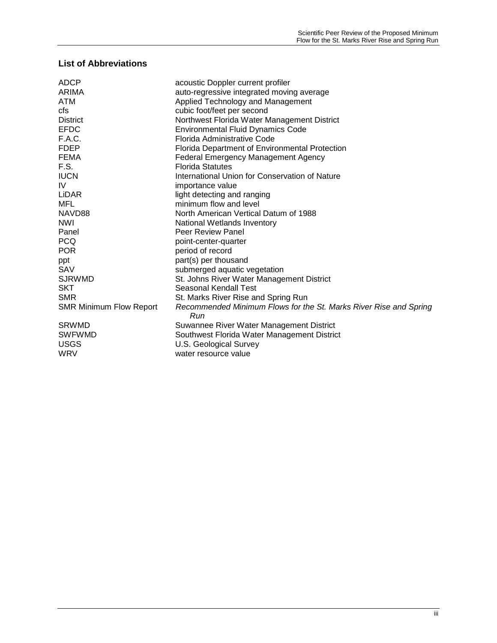#### **List of Abbreviations**

| ADCP                           | acoustic Doppler current profiler                                        |
|--------------------------------|--------------------------------------------------------------------------|
| ARIMA                          | auto-regressive integrated moving average                                |
| ATM                            | Applied Technology and Management                                        |
| cfs                            | cubic foot/feet per second                                               |
| <b>District</b>                | Northwest Florida Water Management District                              |
| <b>EFDC</b>                    | <b>Environmental Fluid Dynamics Code</b>                                 |
| F.A.C.                         | Florida Administrative Code                                              |
| <b>FDEP</b>                    | Florida Department of Environmental Protection                           |
| <b>FEMA</b>                    | Federal Emergency Management Agency                                      |
| F.S.                           | <b>Florida Statutes</b>                                                  |
| <b>IUCN</b>                    | International Union for Conservation of Nature                           |
| IV                             | importance value                                                         |
| LiDAR                          | light detecting and ranging                                              |
| MFL                            | minimum flow and level                                                   |
| NAVD88                         | North American Vertical Datum of 1988                                    |
| <b>NWI</b>                     | National Wetlands Inventory                                              |
| Panel                          | <b>Peer Review Panel</b>                                                 |
| <b>PCQ</b>                     | point-center-quarter                                                     |
| <b>POR</b>                     | period of record                                                         |
| ppt                            | part(s) per thousand                                                     |
| SAV                            | submerged aquatic vegetation                                             |
| <b>SJRWMD</b>                  | St. Johns River Water Management District                                |
| <b>SKT</b>                     | Seasonal Kendall Test                                                    |
| <b>SMR</b>                     | St. Marks River Rise and Spring Run                                      |
| <b>SMR Minimum Flow Report</b> | Recommended Minimum Flows for the St. Marks River Rise and Spring<br>Run |
| <b>SRWMD</b>                   | Suwannee River Water Management District                                 |
| <b>SWFWMD</b>                  | Southwest Florida Water Management District                              |
| <b>USGS</b>                    | U.S. Geological Survey                                                   |
| WRV                            | water resource value                                                     |
|                                |                                                                          |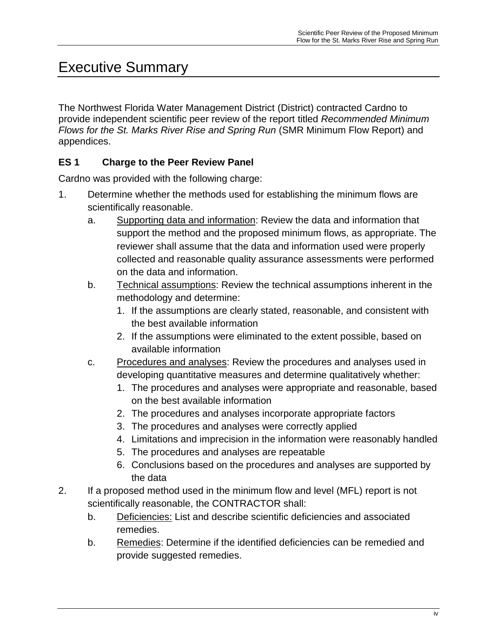# Executive Summary

The Northwest Florida Water Management District (District) contracted Cardno to provide independent scientific peer review of the report titled *Recommended Minimum Flows for the St. Marks River Rise and Spring Run* (SMR Minimum Flow Report) and appendices.

## **ES 1 Charge to the Peer Review Panel**

Cardno was provided with the following charge:

- 1. Determine whether the methods used for establishing the minimum flows are scientifically reasonable.
	- a. Supporting data and information: Review the data and information that support the method and the proposed minimum flows, as appropriate. The reviewer shall assume that the data and information used were properly collected and reasonable quality assurance assessments were performed on the data and information.
	- b. Technical assumptions: Review the technical assumptions inherent in the methodology and determine:
		- 1. If the assumptions are clearly stated, reasonable, and consistent with the best available information
		- 2. If the assumptions were eliminated to the extent possible, based on available information
	- c. Procedures and analyses: Review the procedures and analyses used in developing quantitative measures and determine qualitatively whether:
		- 1. The procedures and analyses were appropriate and reasonable, based on the best available information
		- 2. The procedures and analyses incorporate appropriate factors
		- 3. The procedures and analyses were correctly applied
		- 4. Limitations and imprecision in the information were reasonably handled
		- 5. The procedures and analyses are repeatable
		- 6. Conclusions based on the procedures and analyses are supported by the data
- 2. If a proposed method used in the minimum flow and level (MFL) report is not scientifically reasonable, the CONTRACTOR shall:
	- b. Deficiencies: List and describe scientific deficiencies and associated remedies.
	- b. Remedies: Determine if the identified deficiencies can be remedied and provide suggested remedies.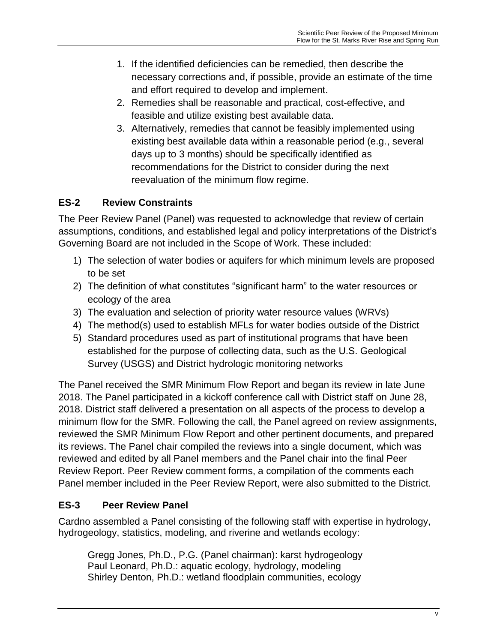- 1. If the identified deficiencies can be remedied, then describe the necessary corrections and, if possible, provide an estimate of the time and effort required to develop and implement.
- 2. Remedies shall be reasonable and practical, cost-effective, and feasible and utilize existing best available data.
- 3. Alternatively, remedies that cannot be feasibly implemented using existing best available data within a reasonable period (e.g., several days up to 3 months) should be specifically identified as recommendations for the District to consider during the next reevaluation of the minimum flow regime.

# **ES-2 Review Constraints**

The Peer Review Panel (Panel) was requested to acknowledge that review of certain assumptions, conditions, and established legal and policy interpretations of the District's Governing Board are not included in the Scope of Work. These included:

- 1) The selection of water bodies or aquifers for which minimum levels are proposed to be set
- 2) The definition of what constitutes "significant harm" to the water resources or ecology of the area
- 3) The evaluation and selection of priority water resource values (WRVs)
- 4) The method(s) used to establish MFLs for water bodies outside of the District
- 5) Standard procedures used as part of institutional programs that have been established for the purpose of collecting data, such as the U.S. Geological Survey (USGS) and District hydrologic monitoring networks

The Panel received the SMR Minimum Flow Report and began its review in late June 2018. The Panel participated in a kickoff conference call with District staff on June 28, 2018. District staff delivered a presentation on all aspects of the process to develop a minimum flow for the SMR. Following the call, the Panel agreed on review assignments, reviewed the SMR Minimum Flow Report and other pertinent documents, and prepared its reviews. The Panel chair compiled the reviews into a single document, which was reviewed and edited by all Panel members and the Panel chair into the final Peer Review Report. Peer Review comment forms, a compilation of the comments each Panel member included in the Peer Review Report, were also submitted to the District.

# **ES-3 Peer Review Panel**

Cardno assembled a Panel consisting of the following staff with expertise in hydrology, hydrogeology, statistics, modeling, and riverine and wetlands ecology:

Gregg Jones, Ph.D., P.G. (Panel chairman): karst hydrogeology Paul Leonard, Ph.D.: aquatic ecology, hydrology, modeling Shirley Denton, Ph.D.: wetland floodplain communities, ecology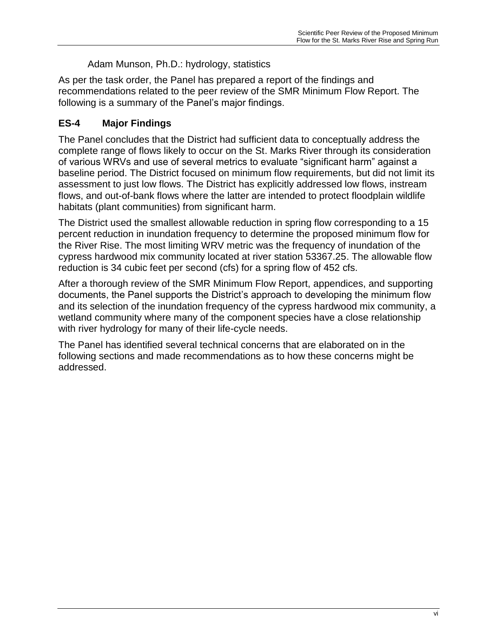## Adam Munson, Ph.D.: hydrology, statistics

As per the task order, the Panel has prepared a report of the findings and recommendations related to the peer review of the SMR Minimum Flow Report. The following is a summary of the Panel's major findings.

# **ES-4 Major Findings**

The Panel concludes that the District had sufficient data to conceptually address the complete range of flows likely to occur on the St. Marks River through its consideration of various WRVs and use of several metrics to evaluate "significant harm" against a baseline period. The District focused on minimum flow requirements, but did not limit its assessment to just low flows. The District has explicitly addressed low flows, instream flows, and out-of-bank flows where the latter are intended to protect floodplain wildlife habitats (plant communities) from significant harm.

The District used the smallest allowable reduction in spring flow corresponding to a 15 percent reduction in inundation frequency to determine the proposed minimum flow for the River Rise. The most limiting WRV metric was the frequency of inundation of the cypress hardwood mix community located at river station 53367.25. The allowable flow reduction is 34 cubic feet per second (cfs) for a spring flow of 452 cfs.

After a thorough review of the SMR Minimum Flow Report, appendices, and supporting documents, the Panel supports the District's approach to developing the minimum flow and its selection of the inundation frequency of the cypress hardwood mix community, a wetland community where many of the component species have a close relationship with river hydrology for many of their life-cycle needs.

The Panel has identified several technical concerns that are elaborated on in the following sections and made recommendations as to how these concerns might be addressed.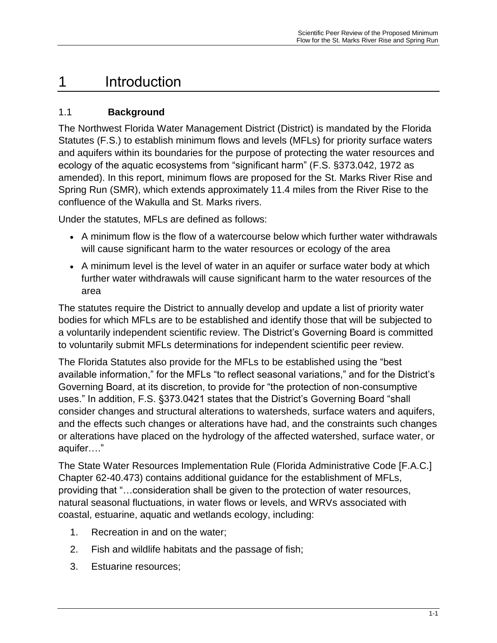# <span id="page-8-0"></span>1 Introduction

## <span id="page-8-1"></span>1.1 **Background**

The Northwest Florida Water Management District (District) is mandated by the Florida Statutes (F.S.) to establish minimum flows and levels (MFLs) for priority surface waters and aquifers within its boundaries for the purpose of protecting the water resources and ecology of the aquatic ecosystems from "significant harm" (F.S. §373.042, 1972 as amended). In this report, minimum flows are proposed for the St. Marks River Rise and Spring Run (SMR), which extends approximately 11.4 miles from the River Rise to the confluence of the Wakulla and St. Marks rivers.

Under the statutes, MFLs are defined as follows:

- A minimum flow is the flow of a watercourse below which further water withdrawals will cause significant harm to the water resources or ecology of the area
- A minimum level is the level of water in an aquifer or surface water body at which further water withdrawals will cause significant harm to the water resources of the area

The statutes require the District to annually develop and update a list of priority water bodies for which MFLs are to be established and identify those that will be subjected to a voluntarily independent scientific review. The District's Governing Board is committed to voluntarily submit MFLs determinations for independent scientific peer review.

The Florida Statutes also provide for the MFLs to be established using the "best available information," for the MFLs "to reflect seasonal variations," and for the District's Governing Board, at its discretion, to provide for "the protection of non-consumptive uses." In addition, F.S. §373.0421 states that the District's Governing Board "shall consider changes and structural alterations to watersheds, surface waters and aquifers, and the effects such changes or alterations have had, and the constraints such changes or alterations have placed on the hydrology of the affected watershed, surface water, or aquifer…."

The State Water Resources Implementation Rule (Florida Administrative Code [F.A.C.] Chapter 62-40.473) contains additional guidance for the establishment of MFLs, providing that "…consideration shall be given to the protection of water resources, natural seasonal fluctuations, in water flows or levels, and WRVs associated with coastal, estuarine, aquatic and wetlands ecology, including:

- 1. Recreation in and on the water;
- 2. Fish and wildlife habitats and the passage of fish;
- 3. Estuarine resources;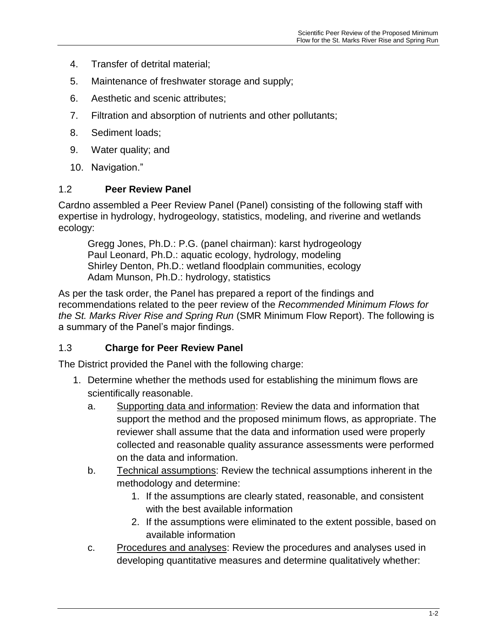- 4. Transfer of detrital material;
- 5. Maintenance of freshwater storage and supply;
- 6. Aesthetic and scenic attributes;
- 7. Filtration and absorption of nutrients and other pollutants;
- 8. Sediment loads;
- 9. Water quality; and
- 10. Navigation."

#### <span id="page-9-0"></span>1.2 **Peer Review Panel**

Cardno assembled a Peer Review Panel (Panel) consisting of the following staff with expertise in hydrology, hydrogeology, statistics, modeling, and riverine and wetlands ecology:

Gregg Jones, Ph.D.: P.G. (panel chairman): karst hydrogeology Paul Leonard, Ph.D.: aquatic ecology, hydrology, modeling Shirley Denton, Ph.D.: wetland floodplain communities, ecology Adam Munson, Ph.D.: hydrology, statistics

As per the task order, the Panel has prepared a report of the findings and recommendations related to the peer review of the *Recommended Minimum Flows for the St. Marks River Rise and Spring Run* (SMR Minimum Flow Report). The following is a summary of the Panel's major findings.

## <span id="page-9-1"></span>1.3 **Charge for Peer Review Panel**

The District provided the Panel with the following charge:

- 1. Determine whether the methods used for establishing the minimum flows are scientifically reasonable.
	- a. Supporting data and information: Review the data and information that support the method and the proposed minimum flows, as appropriate. The reviewer shall assume that the data and information used were properly collected and reasonable quality assurance assessments were performed on the data and information.
	- b. Technical assumptions: Review the technical assumptions inherent in the methodology and determine:
		- 1. If the assumptions are clearly stated, reasonable, and consistent with the best available information
		- 2. If the assumptions were eliminated to the extent possible, based on available information
	- c. Procedures and analyses: Review the procedures and analyses used in developing quantitative measures and determine qualitatively whether: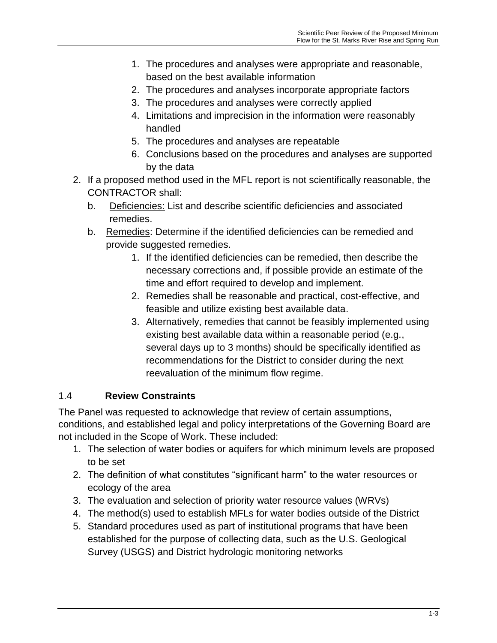- 1. The procedures and analyses were appropriate and reasonable, based on the best available information
- 2. The procedures and analyses incorporate appropriate factors
- 3. The procedures and analyses were correctly applied
- 4. Limitations and imprecision in the information were reasonably handled
- 5. The procedures and analyses are repeatable
- 6. Conclusions based on the procedures and analyses are supported by the data
- 2. If a proposed method used in the MFL report is not scientifically reasonable, the CONTRACTOR shall:
	- b. Deficiencies: List and describe scientific deficiencies and associated remedies.
	- b. Remedies: Determine if the identified deficiencies can be remedied and provide suggested remedies.
		- 1. If the identified deficiencies can be remedied, then describe the necessary corrections and, if possible provide an estimate of the time and effort required to develop and implement.
		- 2. Remedies shall be reasonable and practical, cost-effective, and feasible and utilize existing best available data.
		- 3. Alternatively, remedies that cannot be feasibly implemented using existing best available data within a reasonable period (e.g., several days up to 3 months) should be specifically identified as recommendations for the District to consider during the next reevaluation of the minimum flow regime.

## <span id="page-10-0"></span>1.4 **Review Constraints**

The Panel was requested to acknowledge that review of certain assumptions, conditions, and established legal and policy interpretations of the Governing Board are not included in the Scope of Work. These included:

- 1. The selection of water bodies or aquifers for which minimum levels are proposed to be set
- 2. The definition of what constitutes "significant harm" to the water resources or ecology of the area
- 3. The evaluation and selection of priority water resource values (WRVs)
- 4. The method(s) used to establish MFLs for water bodies outside of the District
- 5. Standard procedures used as part of institutional programs that have been established for the purpose of collecting data, such as the U.S. Geological Survey (USGS) and District hydrologic monitoring networks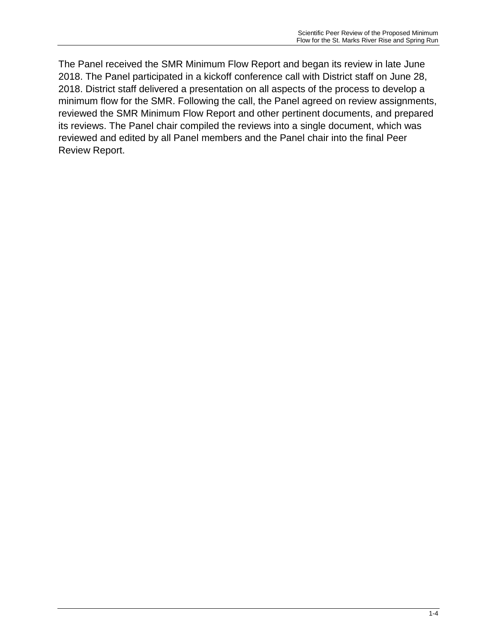The Panel received the SMR Minimum Flow Report and began its review in late June 2018. The Panel participated in a kickoff conference call with District staff on June 28, 2018. District staff delivered a presentation on all aspects of the process to develop a minimum flow for the SMR. Following the call, the Panel agreed on review assignments, reviewed the SMR Minimum Flow Report and other pertinent documents, and prepared its reviews. The Panel chair compiled the reviews into a single document, which was reviewed and edited by all Panel members and the Panel chair into the final Peer Review Report.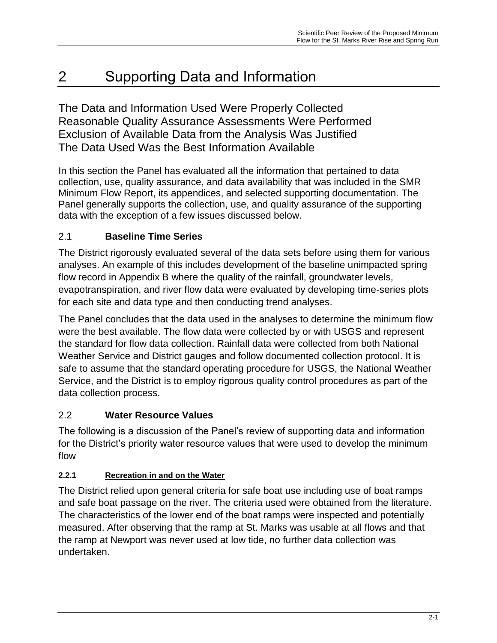# <span id="page-12-0"></span>2 Supporting Data and Information

The Data and Information Used Were Properly Collected Reasonable Quality Assurance Assessments Were Performed Exclusion of Available Data from the Analysis Was Justified The Data Used Was the Best Information Available

In this section the Panel has evaluated all the information that pertained to data collection, use, quality assurance, and data availability that was included in the SMR Minimum Flow Report, its appendices, and selected supporting documentation. The Panel generally supports the collection, use, and quality assurance of the supporting data with the exception of a few issues discussed below.

## <span id="page-12-1"></span>2.1 **Baseline Time Series**

The District rigorously evaluated several of the data sets before using them for various analyses. An example of this includes development of the baseline unimpacted spring flow record in Appendix B where the quality of the rainfall, groundwater levels, evapotranspiration, and river flow data were evaluated by developing time-series plots for each site and data type and then conducting trend analyses.

The Panel concludes that the data used in the analyses to determine the minimum flow were the best available. The flow data were collected by or with USGS and represent the standard for flow data collection. Rainfall data were collected from both National Weather Service and District gauges and follow documented collection protocol. It is safe to assume that the standard operating procedure for USGS, the National Weather Service, and the District is to employ rigorous quality control procedures as part of the data collection process.

## <span id="page-12-2"></span>2.2 **Water Resource Values**

The following is a discussion of the Panel's review of supporting data and information for the District's priority water resource values that were used to develop the minimum flow

## <span id="page-12-3"></span>**2.2.1 Recreation in and on the Water**

The District relied upon general criteria for safe boat use including use of boat ramps and safe boat passage on the river. The criteria used were obtained from the literature. The characteristics of the lower end of the boat ramps were inspected and potentially measured. After observing that the ramp at St. Marks was usable at all flows and that the ramp at Newport was never used at low tide, no further data collection was undertaken.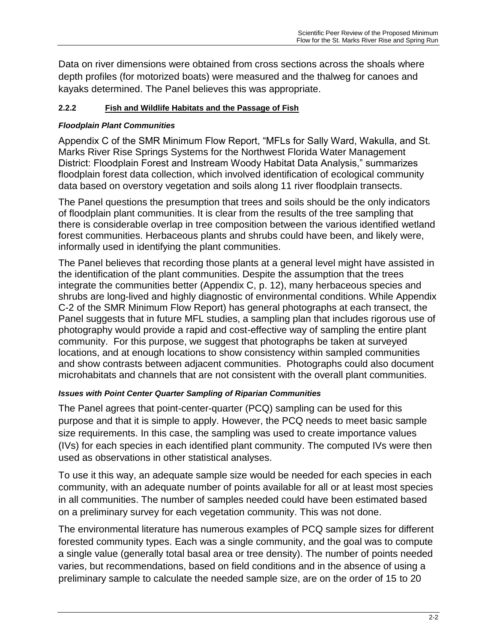Data on river dimensions were obtained from cross sections across the shoals where depth profiles (for motorized boats) were measured and the thalweg for canoes and kayaks determined. The Panel believes this was appropriate.

#### <span id="page-13-0"></span>**2.2.2 Fish and Wildlife Habitats and the Passage of Fish**

#### *Floodplain Plant Communities*

Appendix C of the SMR Minimum Flow Report, "MFLs for Sally Ward, Wakulla, and St. Marks River Rise Springs Systems for the Northwest Florida Water Management District: Floodplain Forest and Instream Woody Habitat Data Analysis," summarizes floodplain forest data collection, which involved identification of ecological community data based on overstory vegetation and soils along 11 river floodplain transects.

The Panel questions the presumption that trees and soils should be the only indicators of floodplain plant communities. It is clear from the results of the tree sampling that there is considerable overlap in tree composition between the various identified wetland forest communities. Herbaceous plants and shrubs could have been, and likely were, informally used in identifying the plant communities.

The Panel believes that recording those plants at a general level might have assisted in the identification of the plant communities. Despite the assumption that the trees integrate the communities better (Appendix C, p. 12), many herbaceous species and shrubs are long-lived and highly diagnostic of environmental conditions. While Appendix C-2 of the SMR Minimum Flow Report) has general photographs at each transect, the Panel suggests that in future MFL studies, a sampling plan that includes rigorous use of photography would provide a rapid and cost-effective way of sampling the entire plant community. For this purpose, we suggest that photographs be taken at surveyed locations, and at enough locations to show consistency within sampled communities and show contrasts between adjacent communities. Photographs could also document microhabitats and channels that are not consistent with the overall plant communities.

#### *Issues with Point Center Quarter Sampling of Riparian Communities*

The Panel agrees that point-center-quarter (PCQ) sampling can be used for this purpose and that it is simple to apply. However, the PCQ needs to meet basic sample size requirements. In this case, the sampling was used to create importance values (IVs) for each species in each identified plant community. The computed IVs were then used as observations in other statistical analyses.

To use it this way, an adequate sample size would be needed for each species in each community, with an adequate number of points available for all or at least most species in all communities. The number of samples needed could have been estimated based on a preliminary survey for each vegetation community. This was not done.

The environmental literature has numerous examples of PCQ sample sizes for different forested community types. Each was a single community, and the goal was to compute a single value (generally total basal area or tree density). The number of points needed varies, but recommendations, based on field conditions and in the absence of using a preliminary sample to calculate the needed sample size, are on the order of 15 to 20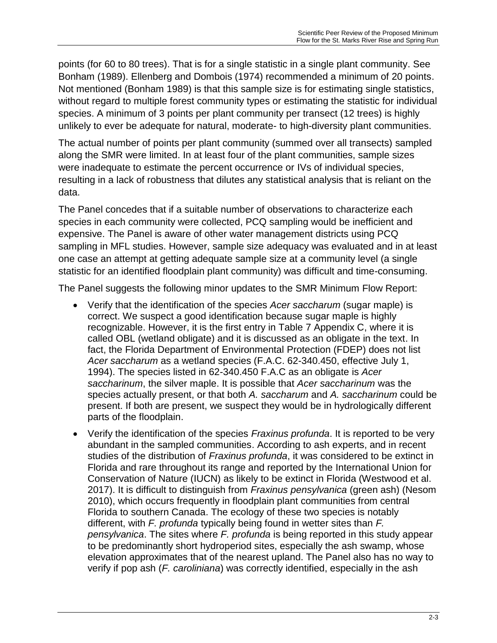points (for 60 to 80 trees). That is for a single statistic in a single plant community. See Bonham (1989). Ellenberg and Dombois (1974) recommended a minimum of 20 points. Not mentioned (Bonham 1989) is that this sample size is for estimating single statistics, without regard to multiple forest community types or estimating the statistic for individual species. A minimum of 3 points per plant community per transect (12 trees) is highly unlikely to ever be adequate for natural, moderate- to high-diversity plant communities.

The actual number of points per plant community (summed over all transects) sampled along the SMR were limited. In at least four of the plant communities, sample sizes were inadequate to estimate the percent occurrence or IVs of individual species, resulting in a lack of robustness that dilutes any statistical analysis that is reliant on the data.

The Panel concedes that if a suitable number of observations to characterize each species in each community were collected, PCQ sampling would be inefficient and expensive. The Panel is aware of other water management districts using PCQ sampling in MFL studies. However, sample size adequacy was evaluated and in at least one case an attempt at getting adequate sample size at a community level (a single statistic for an identified floodplain plant community) was difficult and time-consuming.

The Panel suggests the following minor updates to the SMR Minimum Flow Report:

- Verify that the identification of the species *Acer saccharum* (sugar maple) is correct. We suspect a good identification because sugar maple is highly recognizable. However, it is the first entry in Table 7 Appendix C, where it is called OBL (wetland obligate) and it is discussed as an obligate in the text. In fact, the Florida Department of Environmental Protection (FDEP) does not list *Acer saccharum* as a wetland species (F.A.C. 62-340.450, effective July 1, 1994). The species listed in 62-340.450 F.A.C as an obligate is *Acer saccharinum*, the silver maple. It is possible that *Acer saccharinum* was the species actually present, or that both *A. saccharum* and *A. saccharinum* could be present. If both are present, we suspect they would be in hydrologically different parts of the floodplain.
- Verify the identification of the species *Fraxinus profunda*. It is reported to be very abundant in the sampled communities. According to ash experts, and in recent studies of the distribution of *Fraxinus profunda*, it was considered to be extinct in Florida and rare throughout its range and reported by the International Union for Conservation of Nature (IUCN) as likely to be extinct in Florida (Westwood et al. 2017). It is difficult to distinguish from *Fraxinus pensylvanica* (green ash) (Nesom 2010), which occurs frequently in floodplain plant communities from central Florida to southern Canada. The ecology of these two species is notably different, with *F. profunda* typically being found in wetter sites than *F. pensylvanica*. The sites where *F. profunda* is being reported in this study appear to be predominantly short hydroperiod sites, especially the ash swamp, whose elevation approximates that of the nearest upland. The Panel also has no way to verify if pop ash (*F. caroliniana*) was correctly identified, especially in the ash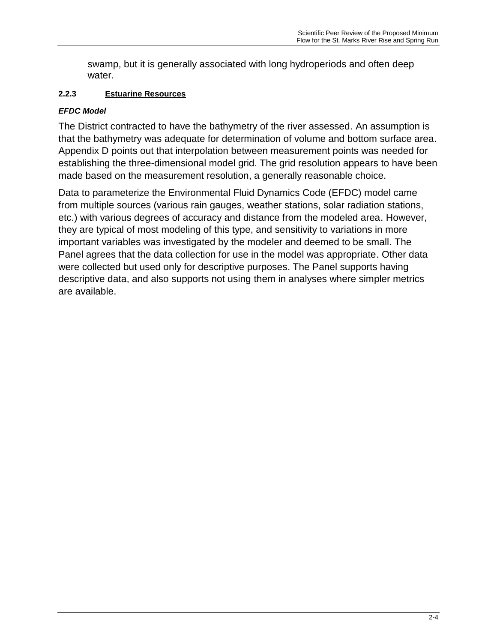swamp, but it is generally associated with long hydroperiods and often deep water.

## <span id="page-15-0"></span>**2.2.3 Estuarine Resources**

## *EFDC Model*

The District contracted to have the bathymetry of the river assessed. An assumption is that the bathymetry was adequate for determination of volume and bottom surface area. Appendix D points out that interpolation between measurement points was needed for establishing the three-dimensional model grid. The grid resolution appears to have been made based on the measurement resolution, a generally reasonable choice.

Data to parameterize the Environmental Fluid Dynamics Code (EFDC) model came from multiple sources (various rain gauges, weather stations, solar radiation stations, etc.) with various degrees of accuracy and distance from the modeled area. However, they are typical of most modeling of this type, and sensitivity to variations in more important variables was investigated by the modeler and deemed to be small. The Panel agrees that the data collection for use in the model was appropriate. Other data were collected but used only for descriptive purposes. The Panel supports having descriptive data, and also supports not using them in analyses where simpler metrics are available.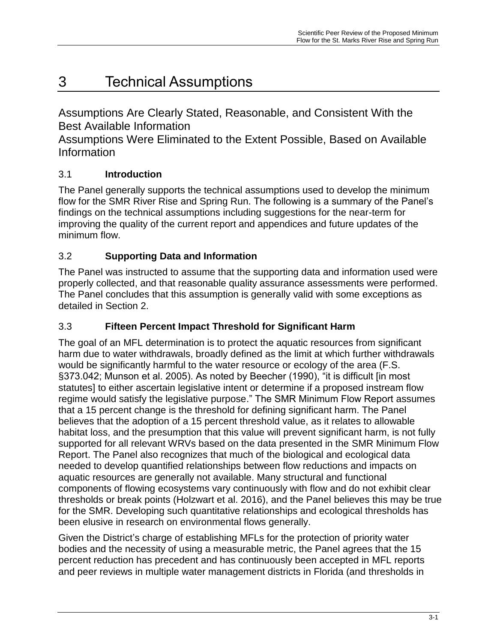# <span id="page-16-0"></span>3 Technical Assumptions

Assumptions Are Clearly Stated, Reasonable, and Consistent With the Best Available Information

Assumptions Were Eliminated to the Extent Possible, Based on Available Information

# <span id="page-16-1"></span>3.1 **Introduction**

The Panel generally supports the technical assumptions used to develop the minimum flow for the SMR River Rise and Spring Run. The following is a summary of the Panel's findings on the technical assumptions including suggestions for the near-term for improving the quality of the current report and appendices and future updates of the minimum flow.

# <span id="page-16-2"></span>3.2 **Supporting Data and Information**

The Panel was instructed to assume that the supporting data and information used were properly collected, and that reasonable quality assurance assessments were performed. The Panel concludes that this assumption is generally valid with some exceptions as detailed in Section 2.

## <span id="page-16-3"></span>3.3 **Fifteen Percent Impact Threshold for Significant Harm**

The goal of an MFL determination is to protect the aquatic resources from significant harm due to water withdrawals, broadly defined as the limit at which further withdrawals would be significantly harmful to the water resource or ecology of the area (F.S. §373.042; Munson et al. 2005). As noted by Beecher (1990), "it is difficult [in most statutes] to either ascertain legislative intent or determine if a proposed instream flow regime would satisfy the legislative purpose." The SMR Minimum Flow Report assumes that a 15 percent change is the threshold for defining significant harm. The Panel believes that the adoption of a 15 percent threshold value, as it relates to allowable habitat loss, and the presumption that this value will prevent significant harm, is not fully supported for all relevant WRVs based on the data presented in the SMR Minimum Flow Report. The Panel also recognizes that much of the biological and ecological data needed to develop quantified relationships between flow reductions and impacts on aquatic resources are generally not available. Many structural and functional components of flowing ecosystems vary continuously with flow and do not exhibit clear thresholds or break points (Holzwart et al. 2016), and the Panel believes this may be true for the SMR. Developing such quantitative relationships and ecological thresholds has been elusive in research on environmental flows generally.

Given the District's charge of establishing MFLs for the protection of priority water bodies and the necessity of using a measurable metric, the Panel agrees that the 15 percent reduction has precedent and has continuously been accepted in MFL reports and peer reviews in multiple water management districts in Florida (and thresholds in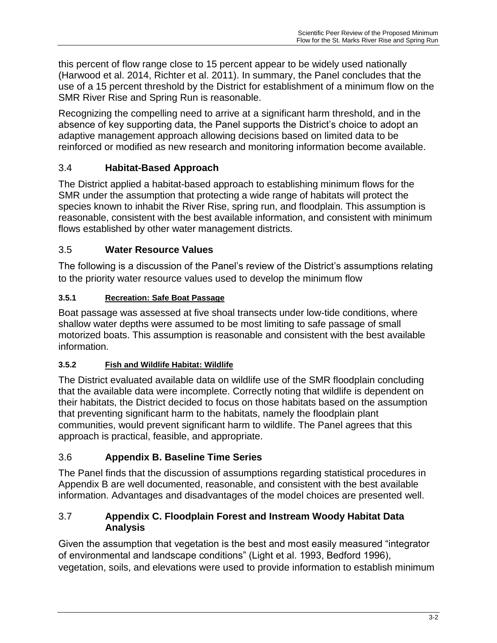this percent of flow range close to 15 percent appear to be widely used nationally (Harwood et al. 2014, Richter et al. 2011). In summary, the Panel concludes that the use of a 15 percent threshold by the District for establishment of a minimum flow on the SMR River Rise and Spring Run is reasonable.

Recognizing the compelling need to arrive at a significant harm threshold, and in the absence of key supporting data, the Panel supports the District's choice to adopt an adaptive management approach allowing decisions based on limited data to be reinforced or modified as new research and monitoring information become available.

# <span id="page-17-0"></span>3.4 **Habitat-Based Approach**

The District applied a habitat-based approach to establishing minimum flows for the SMR under the assumption that protecting a wide range of habitats will protect the species known to inhabit the River Rise, spring run, and floodplain. This assumption is reasonable, consistent with the best available information, and consistent with minimum flows established by other water management districts.

## <span id="page-17-1"></span>3.5 **Water Resource Values**

The following is a discussion of the Panel's review of the District's assumptions relating to the priority water resource values used to develop the minimum flow

## <span id="page-17-2"></span>**3.5.1 Recreation: Safe Boat Passage**

Boat passage was assessed at five shoal transects under low-tide conditions, where shallow water depths were assumed to be most limiting to safe passage of small motorized boats. This assumption is reasonable and consistent with the best available information.

## <span id="page-17-3"></span>**3.5.2 Fish and Wildlife Habitat: Wildlife**

The District evaluated available data on wildlife use of the SMR floodplain concluding that the available data were incomplete. Correctly noting that wildlife is dependent on their habitats, the District decided to focus on those habitats based on the assumption that preventing significant harm to the habitats, namely the floodplain plant communities, would prevent significant harm to wildlife. The Panel agrees that this approach is practical, feasible, and appropriate.

## <span id="page-17-4"></span>3.6 **Appendix B. Baseline Time Series**

The Panel finds that the discussion of assumptions regarding statistical procedures in Appendix B are well documented, reasonable, and consistent with the best available information. Advantages and disadvantages of the model choices are presented well.

### <span id="page-17-5"></span>3.7 **Appendix C. Floodplain Forest and Instream Woody Habitat Data Analysis**

Given the assumption that vegetation is the best and most easily measured "integrator of environmental and landscape conditions" (Light et al. 1993, Bedford 1996), vegetation, soils, and elevations were used to provide information to establish minimum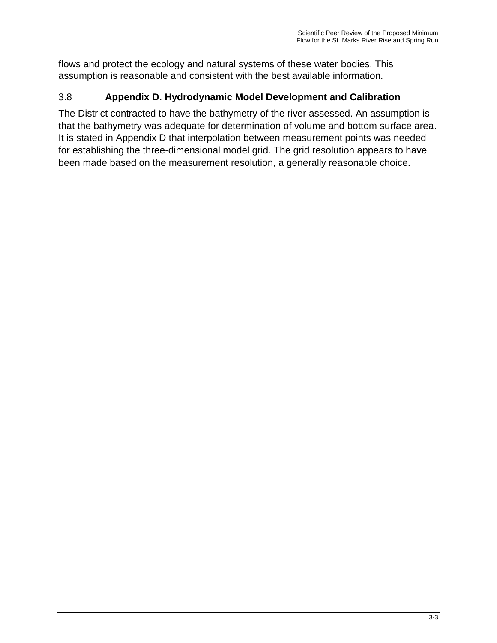flows and protect the ecology and natural systems of these water bodies. This assumption is reasonable and consistent with the best available information.

# <span id="page-18-0"></span>3.8 **Appendix D. Hydrodynamic Model Development and Calibration**

The District contracted to have the bathymetry of the river assessed. An assumption is that the bathymetry was adequate for determination of volume and bottom surface area. It is stated in Appendix D that interpolation between measurement points was needed for establishing the three-dimensional model grid. The grid resolution appears to have been made based on the measurement resolution, a generally reasonable choice.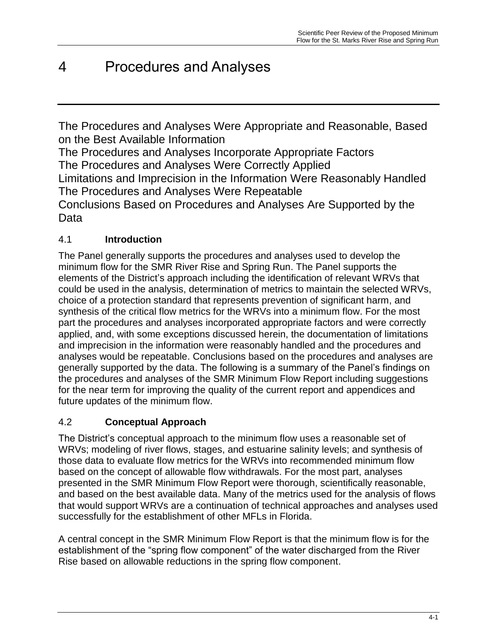# <span id="page-19-0"></span>4 Procedures and Analyses

The Procedures and Analyses Were Appropriate and Reasonable, Based on the Best Available Information

The Procedures and Analyses Incorporate Appropriate Factors The Procedures and Analyses Were Correctly Applied Limitations and Imprecision in the Information Were Reasonably Handled The Procedures and Analyses Were Repeatable

Conclusions Based on Procedures and Analyses Are Supported by the Data

# <span id="page-19-1"></span>4.1 **Introduction**

The Panel generally supports the procedures and analyses used to develop the minimum flow for the SMR River Rise and Spring Run. The Panel supports the elements of the District's approach including the identification of relevant WRVs that could be used in the analysis, determination of metrics to maintain the selected WRVs, choice of a protection standard that represents prevention of significant harm, and synthesis of the critical flow metrics for the WRVs into a minimum flow. For the most part the procedures and analyses incorporated appropriate factors and were correctly applied, and, with some exceptions discussed herein, the documentation of limitations and imprecision in the information were reasonably handled and the procedures and analyses would be repeatable. Conclusions based on the procedures and analyses are generally supported by the data. The following is a summary of the Panel's findings on the procedures and analyses of the SMR Minimum Flow Report including suggestions for the near term for improving the quality of the current report and appendices and future updates of the minimum flow.

# <span id="page-19-2"></span>4.2 **Conceptual Approach**

The District's conceptual approach to the minimum flow uses a reasonable set of WRVs; modeling of river flows, stages, and estuarine salinity levels; and synthesis of those data to evaluate flow metrics for the WRVs into recommended minimum flow based on the concept of allowable flow withdrawals. For the most part, analyses presented in the SMR Minimum Flow Report were thorough, scientifically reasonable, and based on the best available data. Many of the metrics used for the analysis of flows that would support WRVs are a continuation of technical approaches and analyses used successfully for the establishment of other MFLs in Florida.

A central concept in the SMR Minimum Flow Report is that the minimum flow is for the establishment of the "spring flow component" of the water discharged from the River Rise based on allowable reductions in the spring flow component.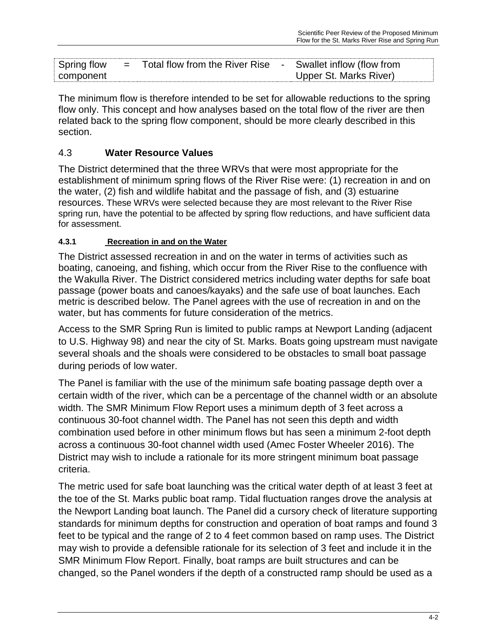| Spring flow | $=$ | Total flow from the River Rise | Swallet inflow (flow from |  |
|-------------|-----|--------------------------------|---------------------------|--|
| component   |     |                                | Upper St. Marks River)    |  |

The minimum flow is therefore intended to be set for allowable reductions to the spring flow only. This concept and how analyses based on the total flow of the river are then related back to the spring flow component, should be more clearly described in this section.

## <span id="page-20-0"></span>4.3 **Water Resource Values**

The District determined that the three WRVs that were most appropriate for the establishment of minimum spring flows of the River Rise were: (1) recreation in and on the water, (2) fish and wildlife habitat and the passage of fish, and (3) estuarine resources. These WRVs were selected because they are most relevant to the River Rise spring run, have the potential to be affected by spring flow reductions, and have sufficient data for assessment.

#### <span id="page-20-1"></span>**4.3.1 Recreation in and on the Water**

The District assessed recreation in and on the water in terms of activities such as boating, canoeing, and fishing, which occur from the River Rise to the confluence with the Wakulla River. The District considered metrics including water depths for safe boat passage (power boats and canoes/kayaks) and the safe use of boat launches. Each metric is described below. The Panel agrees with the use of recreation in and on the water, but has comments for future consideration of the metrics.

Access to the SMR Spring Run is limited to public ramps at Newport Landing (adjacent to U.S. Highway 98) and near the city of St. Marks. Boats going upstream must navigate several shoals and the shoals were considered to be obstacles to small boat passage during periods of low water.

The Panel is familiar with the use of the minimum safe boating passage depth over a certain width of the river, which can be a percentage of the channel width or an absolute width. The SMR Minimum Flow Report uses a minimum depth of 3 feet across a continuous 30-foot channel width. The Panel has not seen this depth and width combination used before in other minimum flows but has seen a minimum 2-foot depth across a continuous 30-foot channel width used (Amec Foster Wheeler 2016). The District may wish to include a rationale for its more stringent minimum boat passage criteria.

The metric used for safe boat launching was the critical water depth of at least 3 feet at the toe of the St. Marks public boat ramp. Tidal fluctuation ranges drove the analysis at the Newport Landing boat launch. The Panel did a cursory check of literature supporting standards for minimum depths for construction and operation of boat ramps and found 3 feet to be typical and the range of 2 to 4 feet common based on ramp uses. The District may wish to provide a defensible rationale for its selection of 3 feet and include it in the SMR Minimum Flow Report. Finally, boat ramps are built structures and can be changed, so the Panel wonders if the depth of a constructed ramp should be used as a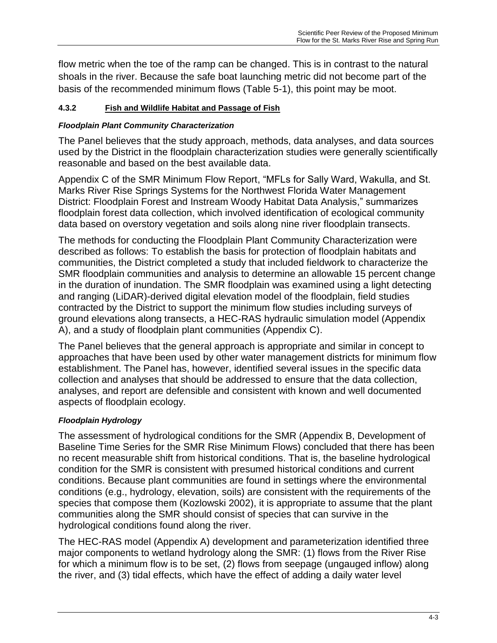flow metric when the toe of the ramp can be changed. This is in contrast to the natural shoals in the river. Because the safe boat launching metric did not become part of the basis of the recommended minimum flows (Table 5-1), this point may be moot.

### <span id="page-21-0"></span>**4.3.2 Fish and Wildlife Habitat and Passage of Fish**

### *Floodplain Plant Community Characterization*

The Panel believes that the study approach, methods, data analyses, and data sources used by the District in the floodplain characterization studies were generally scientifically reasonable and based on the best available data.

Appendix C of the SMR Minimum Flow Report, "MFLs for Sally Ward, Wakulla, and St. Marks River Rise Springs Systems for the Northwest Florida Water Management District: Floodplain Forest and Instream Woody Habitat Data Analysis," summarizes floodplain forest data collection, which involved identification of ecological community data based on overstory vegetation and soils along nine river floodplain transects.

The methods for conducting the Floodplain Plant Community Characterization were described as follows: To establish the basis for protection of floodplain habitats and communities, the District completed a study that included fieldwork to characterize the SMR floodplain communities and analysis to determine an allowable 15 percent change in the duration of inundation. The SMR floodplain was examined using a light detecting and ranging (LiDAR)-derived digital elevation model of the floodplain, field studies contracted by the District to support the minimum flow studies including surveys of ground elevations along transects, a HEC-RAS hydraulic simulation model (Appendix A), and a study of floodplain plant communities (Appendix C).

The Panel believes that the general approach is appropriate and similar in concept to approaches that have been used by other water management districts for minimum flow establishment. The Panel has, however, identified several issues in the specific data collection and analyses that should be addressed to ensure that the data collection, analyses, and report are defensible and consistent with known and well documented aspects of floodplain ecology.

#### *Floodplain Hydrology*

The assessment of hydrological conditions for the SMR (Appendix B, Development of Baseline Time Series for the SMR Rise Minimum Flows) concluded that there has been no recent measurable shift from historical conditions. That is, the baseline hydrological condition for the SMR is consistent with presumed historical conditions and current conditions. Because plant communities are found in settings where the environmental conditions (e.g., hydrology, elevation, soils) are consistent with the requirements of the species that compose them (Kozlowski 2002), it is appropriate to assume that the plant communities along the SMR should consist of species that can survive in the hydrological conditions found along the river.

The HEC-RAS model (Appendix A) development and parameterization identified three major components to wetland hydrology along the SMR: (1) flows from the River Rise for which a minimum flow is to be set, (2) flows from seepage (ungauged inflow) along the river, and (3) tidal effects, which have the effect of adding a daily water level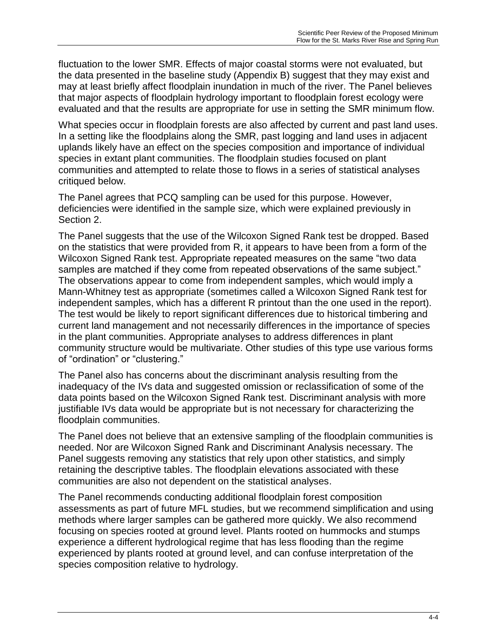fluctuation to the lower SMR. Effects of major coastal storms were not evaluated, but the data presented in the baseline study (Appendix B) suggest that they may exist and may at least briefly affect floodplain inundation in much of the river. The Panel believes that major aspects of floodplain hydrology important to floodplain forest ecology were evaluated and that the results are appropriate for use in setting the SMR minimum flow.

What species occur in floodplain forests are also affected by current and past land uses. In a setting like the floodplains along the SMR, past logging and land uses in adjacent uplands likely have an effect on the species composition and importance of individual species in extant plant communities. The floodplain studies focused on plant communities and attempted to relate those to flows in a series of statistical analyses critiqued below.

The Panel agrees that PCQ sampling can be used for this purpose. However, deficiencies were identified in the sample size, which were explained previously in Section 2.

The Panel suggests that the use of the Wilcoxon Signed Rank test be dropped. Based on the statistics that were provided from R, it appears to have been from a form of the Wilcoxon Signed Rank test. Appropriate repeated measures on the same "two data samples are matched if they come from repeated observations of the same subject." The observations appear to come from independent samples, which would imply a Mann-Whitney test as appropriate (sometimes called a Wilcoxon Signed Rank test for independent samples, which has a different R printout than the one used in the report). The test would be likely to report significant differences due to historical timbering and current land management and not necessarily differences in the importance of species in the plant communities. Appropriate analyses to address differences in plant community structure would be multivariate. Other studies of this type use various forms of "ordination" or "clustering."

The Panel also has concerns about the discriminant analysis resulting from the inadequacy of the IVs data and suggested omission or reclassification of some of the data points based on the Wilcoxon Signed Rank test. Discriminant analysis with more justifiable IVs data would be appropriate but is not necessary for characterizing the floodplain communities.

The Panel does not believe that an extensive sampling of the floodplain communities is needed. Nor are Wilcoxon Signed Rank and Discriminant Analysis necessary. The Panel suggests removing any statistics that rely upon other statistics, and simply retaining the descriptive tables. The floodplain elevations associated with these communities are also not dependent on the statistical analyses.

The Panel recommends conducting additional floodplain forest composition assessments as part of future MFL studies, but we recommend simplification and using methods where larger samples can be gathered more quickly. We also recommend focusing on species rooted at ground level. Plants rooted on hummocks and stumps experience a different hydrological regime that has less flooding than the regime experienced by plants rooted at ground level, and can confuse interpretation of the species composition relative to hydrology.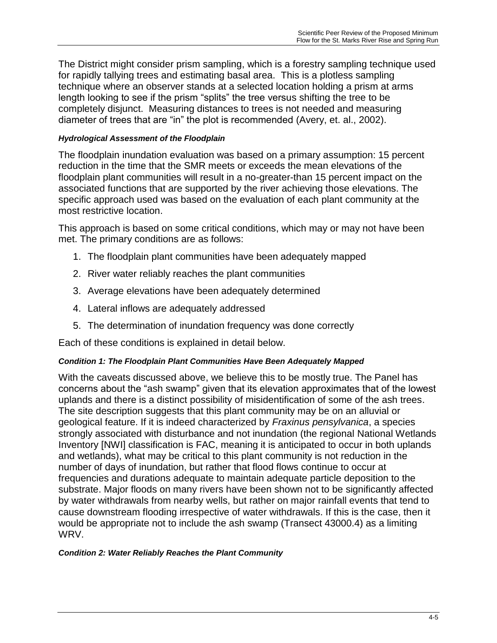The District might consider prism sampling, which is a forestry sampling technique used for rapidly tallying trees and estimating basal area. This is a plotless sampling technique where an observer stands at a selected location holding a prism at arms length looking to see if the prism "splits" the tree versus shifting the tree to be completely disjunct. Measuring distances to trees is not needed and measuring diameter of trees that are "in" the plot is recommended (Avery, et. al., 2002).

#### *Hydrological Assessment of the Floodplain*

The floodplain inundation evaluation was based on a primary assumption: 15 percent reduction in the time that the SMR meets or exceeds the mean elevations of the floodplain plant communities will result in a no-greater-than 15 percent impact on the associated functions that are supported by the river achieving those elevations. The specific approach used was based on the evaluation of each plant community at the most restrictive location.

This approach is based on some critical conditions, which may or may not have been met. The primary conditions are as follows:

- 1. The floodplain plant communities have been adequately mapped
- 2. River water reliably reaches the plant communities
- 3. Average elevations have been adequately determined
- 4. Lateral inflows are adequately addressed
- 5. The determination of inundation frequency was done correctly

Each of these conditions is explained in detail below.

#### *Condition 1: The Floodplain Plant Communities Have Been Adequately Mapped*

With the caveats discussed above, we believe this to be mostly true. The Panel has concerns about the "ash swamp" given that its elevation approximates that of the lowest uplands and there is a distinct possibility of misidentification of some of the ash trees. The site description suggests that this plant community may be on an alluvial or geological feature. If it is indeed characterized by *Fraxinus pensylvanica*, a species strongly associated with disturbance and not inundation (the regional National Wetlands Inventory [NWI] classification is FAC, meaning it is anticipated to occur in both uplands and wetlands), what may be critical to this plant community is not reduction in the number of days of inundation, but rather that flood flows continue to occur at frequencies and durations adequate to maintain adequate particle deposition to the substrate. Major floods on many rivers have been shown not to be significantly affected by water withdrawals from nearby wells, but rather on major rainfall events that tend to cause downstream flooding irrespective of water withdrawals. If this is the case, then it would be appropriate not to include the ash swamp (Transect 43000.4) as a limiting WRV.

#### *Condition 2: Water Reliably Reaches the Plant Community*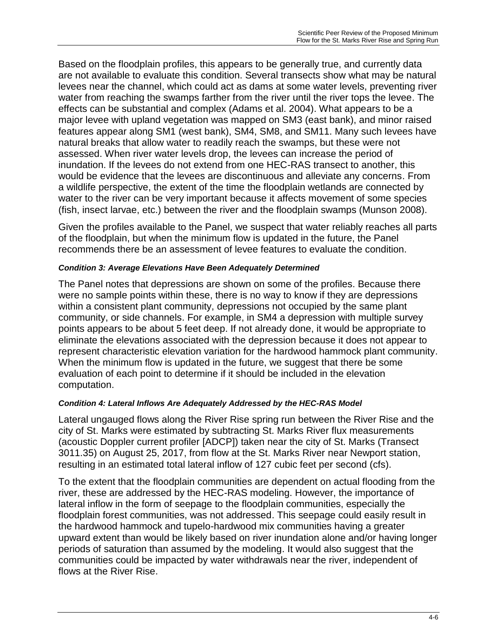Based on the floodplain profiles, this appears to be generally true, and currently data are not available to evaluate this condition. Several transects show what may be natural levees near the channel, which could act as dams at some water levels, preventing river water from reaching the swamps farther from the river until the river tops the levee. The effects can be substantial and complex (Adams et al. 2004). What appears to be a major levee with upland vegetation was mapped on SM3 (east bank), and minor raised features appear along SM1 (west bank), SM4, SM8, and SM11. Many such levees have natural breaks that allow water to readily reach the swamps, but these were not assessed. When river water levels drop, the levees can increase the period of inundation. If the levees do not extend from one HEC-RAS transect to another, this would be evidence that the levees are discontinuous and alleviate any concerns. From a wildlife perspective, the extent of the time the floodplain wetlands are connected by water to the river can be very important because it affects movement of some species (fish, insect larvae, etc.) between the river and the floodplain swamps (Munson 2008).

Given the profiles available to the Panel, we suspect that water reliably reaches all parts of the floodplain, but when the minimum flow is updated in the future, the Panel recommends there be an assessment of levee features to evaluate the condition.

#### *Condition 3: Average Elevations Have Been Adequately Determined*

The Panel notes that depressions are shown on some of the profiles. Because there were no sample points within these, there is no way to know if they are depressions within a consistent plant community, depressions not occupied by the same plant community, or side channels. For example, in SM4 a depression with multiple survey points appears to be about 5 feet deep. If not already done, it would be appropriate to eliminate the elevations associated with the depression because it does not appear to represent characteristic elevation variation for the hardwood hammock plant community. When the minimum flow is updated in the future, we suggest that there be some evaluation of each point to determine if it should be included in the elevation computation.

#### *Condition 4: Lateral Inflows Are Adequately Addressed by the HEC-RAS Model*

Lateral ungauged flows along the River Rise spring run between the River Rise and the city of St. Marks were estimated by subtracting St. Marks River flux measurements (acoustic Doppler current profiler [ADCP]) taken near the city of St. Marks (Transect 3011.35) on August 25, 2017, from flow at the St. Marks River near Newport station, resulting in an estimated total lateral inflow of 127 cubic feet per second (cfs).

To the extent that the floodplain communities are dependent on actual flooding from the river, these are addressed by the HEC-RAS modeling. However, the importance of lateral inflow in the form of seepage to the floodplain communities, especially the floodplain forest communities, was not addressed. This seepage could easily result in the hardwood hammock and tupelo-hardwood mix communities having a greater upward extent than would be likely based on river inundation alone and/or having longer periods of saturation than assumed by the modeling. It would also suggest that the communities could be impacted by water withdrawals near the river, independent of flows at the River Rise.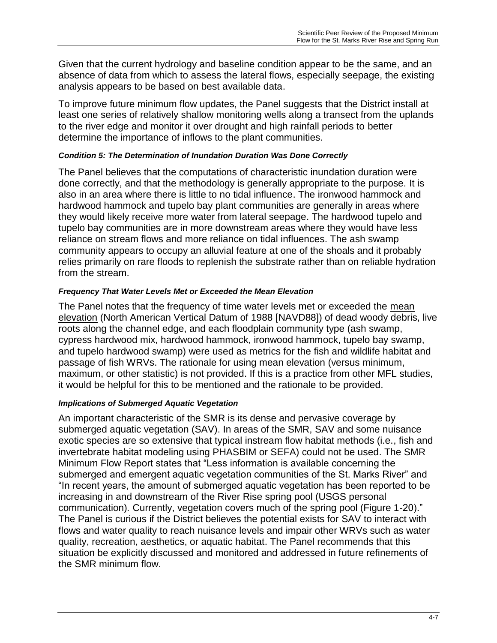Given that the current hydrology and baseline condition appear to be the same, and an absence of data from which to assess the lateral flows, especially seepage, the existing analysis appears to be based on best available data.

To improve future minimum flow updates, the Panel suggests that the District install at least one series of relatively shallow monitoring wells along a transect from the uplands to the river edge and monitor it over drought and high rainfall periods to better determine the importance of inflows to the plant communities.

#### *Condition 5: The Determination of Inundation Duration Was Done Correctly*

The Panel believes that the computations of characteristic inundation duration were done correctly, and that the methodology is generally appropriate to the purpose. It is also in an area where there is little to no tidal influence. The ironwood hammock and hardwood hammock and tupelo bay plant communities are generally in areas where they would likely receive more water from lateral seepage. The hardwood tupelo and tupelo bay communities are in more downstream areas where they would have less reliance on stream flows and more reliance on tidal influences. The ash swamp community appears to occupy an alluvial feature at one of the shoals and it probably relies primarily on rare floods to replenish the substrate rather than on reliable hydration from the stream.

### *Frequency That Water Levels Met or Exceeded the Mean Elevation*

The Panel notes that the frequency of time water levels met or exceeded the mean elevation (North American Vertical Datum of 1988 [NAVD88]) of dead woody debris, live roots along the channel edge, and each floodplain community type (ash swamp, cypress hardwood mix, hardwood hammock, ironwood hammock, tupelo bay swamp, and tupelo hardwood swamp) were used as metrics for the fish and wildlife habitat and passage of fish WRVs. The rationale for using mean elevation (versus minimum, maximum, or other statistic) is not provided. If this is a practice from other MFL studies, it would be helpful for this to be mentioned and the rationale to be provided.

## *Implications of Submerged Aquatic Vegetation*

An important characteristic of the SMR is its dense and pervasive coverage by submerged aquatic vegetation (SAV). In areas of the SMR, SAV and some nuisance exotic species are so extensive that typical instream flow habitat methods (i.e., fish and invertebrate habitat modeling using PHASBIM or SEFA) could not be used. The SMR Minimum Flow Report states that "Less information is available concerning the submerged and emergent aquatic vegetation communities of the St. Marks River" and "In recent years, the amount of submerged aquatic vegetation has been reported to be increasing in and downstream of the River Rise spring pool (USGS personal communication)*.* Currently, vegetation covers much of the spring pool (Figure 1-20)." The Panel is curious if the District believes the potential exists for SAV to interact with flows and water quality to reach nuisance levels and impair other WRVs such as water quality, recreation, aesthetics, or aquatic habitat. The Panel recommends that this situation be explicitly discussed and monitored and addressed in future refinements of the SMR minimum flow.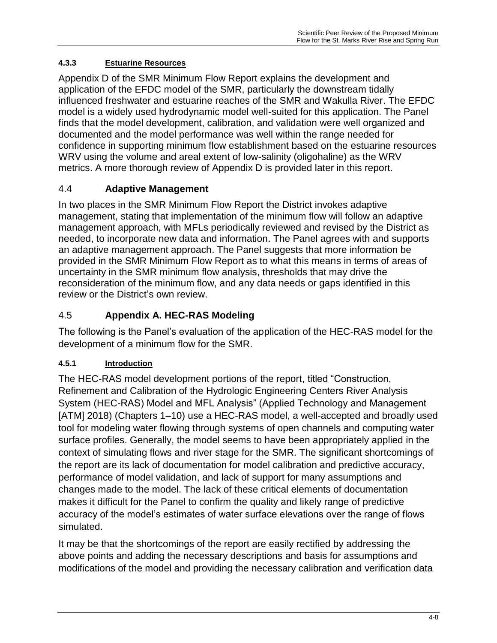## <span id="page-26-0"></span>**4.3.3 Estuarine Resources**

Appendix D of the SMR Minimum Flow Report explains the development and application of the EFDC model of the SMR, particularly the downstream tidally influenced freshwater and estuarine reaches of the SMR and Wakulla River. The EFDC model is a widely used hydrodynamic model well-suited for this application. The Panel finds that the model development, calibration, and validation were well organized and documented and the model performance was well within the range needed for confidence in supporting minimum flow establishment based on the estuarine resources WRV using the volume and areal extent of low-salinity (oligohaline) as the WRV metrics. A more thorough review of Appendix D is provided later in this report.

# <span id="page-26-1"></span>4.4 **Adaptive Management**

In two places in the SMR Minimum Flow Report the District invokes adaptive management, stating that implementation of the minimum flow will follow an adaptive management approach, with MFLs periodically reviewed and revised by the District as needed, to incorporate new data and information. The Panel agrees with and supports an adaptive management approach. The Panel suggests that more information be provided in the SMR Minimum Flow Report as to what this means in terms of areas of uncertainty in the SMR minimum flow analysis, thresholds that may drive the reconsideration of the minimum flow, and any data needs or gaps identified in this review or the District's own review.

# <span id="page-26-2"></span>4.5 **Appendix A. HEC-RAS Modeling**

The following is the Panel's evaluation of the application of the HEC-RAS model for the development of a minimum flow for the SMR.

## <span id="page-26-3"></span>**4.5.1 Introduction**

The HEC-RAS model development portions of the report, titled "Construction, Refinement and Calibration of the Hydrologic Engineering Centers River Analysis System (HEC-RAS) Model and MFL Analysis" (Applied Technology and Management [ATM] 2018) (Chapters 1–10) use a HEC-RAS model, a well-accepted and broadly used tool for modeling water flowing through systems of open channels and computing water surface profiles. Generally, the model seems to have been appropriately applied in the context of simulating flows and river stage for the SMR. The significant shortcomings of the report are its lack of documentation for model calibration and predictive accuracy, performance of model validation, and lack of support for many assumptions and changes made to the model. The lack of these critical elements of documentation makes it difficult for the Panel to confirm the quality and likely range of predictive accuracy of the model's estimates of water surface elevations over the range of flows simulated.

It may be that the shortcomings of the report are easily rectified by addressing the above points and adding the necessary descriptions and basis for assumptions and modifications of the model and providing the necessary calibration and verification data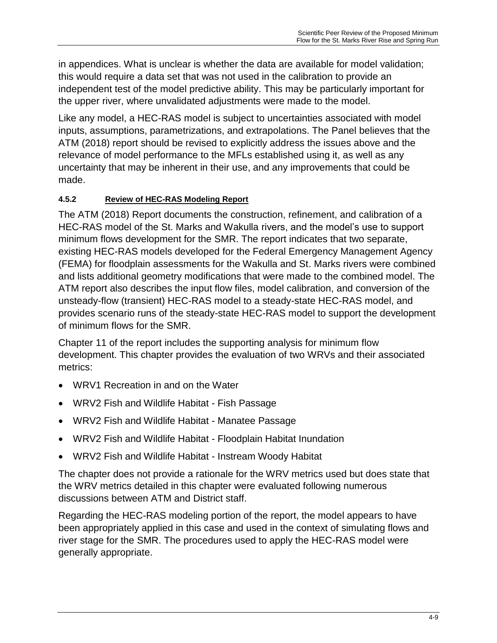in appendices. What is unclear is whether the data are available for model validation; this would require a data set that was not used in the calibration to provide an independent test of the model predictive ability. This may be particularly important for the upper river, where unvalidated adjustments were made to the model.

Like any model, a HEC-RAS model is subject to uncertainties associated with model inputs, assumptions, parametrizations, and extrapolations. The Panel believes that the ATM (2018) report should be revised to explicitly address the issues above and the relevance of model performance to the MFLs established using it, as well as any uncertainty that may be inherent in their use, and any improvements that could be made.

## <span id="page-27-0"></span>**4.5.2 Review of HEC-RAS Modeling Report**

The ATM (2018) Report documents the construction, refinement, and calibration of a HEC-RAS model of the St. Marks and Wakulla rivers, and the model's use to support minimum flows development for the SMR. The report indicates that two separate, existing HEC-RAS models developed for the Federal Emergency Management Agency (FEMA) for floodplain assessments for the Wakulla and St. Marks rivers were combined and lists additional geometry modifications that were made to the combined model. The ATM report also describes the input flow files, model calibration, and conversion of the unsteady-flow (transient) HEC-RAS model to a steady-state HEC-RAS model, and provides scenario runs of the steady-state HEC-RAS model to support the development of minimum flows for the SMR.

Chapter 11 of the report includes the supporting analysis for minimum flow development. This chapter provides the evaluation of two WRVs and their associated metrics:

- WRV1 Recreation in and on the Water
- WRV2 Fish and Wildlife Habitat Fish Passage
- WRV2 Fish and Wildlife Habitat Manatee Passage
- WRV2 Fish and Wildlife Habitat Floodplain Habitat Inundation
- WRV2 Fish and Wildlife Habitat Instream Woody Habitat

The chapter does not provide a rationale for the WRV metrics used but does state that the WRV metrics detailed in this chapter were evaluated following numerous discussions between ATM and District staff.

Regarding the HEC-RAS modeling portion of the report, the model appears to have been appropriately applied in this case and used in the context of simulating flows and river stage for the SMR. The procedures used to apply the HEC-RAS model were generally appropriate.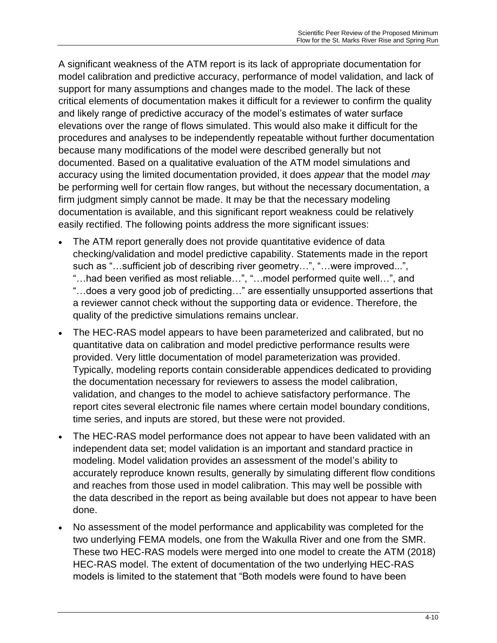A significant weakness of the ATM report is its lack of appropriate documentation for model calibration and predictive accuracy, performance of model validation, and lack of support for many assumptions and changes made to the model. The lack of these critical elements of documentation makes it difficult for a reviewer to confirm the quality and likely range of predictive accuracy of the model's estimates of water surface elevations over the range of flows simulated. This would also make it difficult for the procedures and analyses to be independently repeatable without further documentation because many modifications of the model were described generally but not documented. Based on a qualitative evaluation of the ATM model simulations and accuracy using the limited documentation provided, it does *appear* that the model *may* be performing well for certain flow ranges, but without the necessary documentation, a firm judgment simply cannot be made. It may be that the necessary modeling documentation is available, and this significant report weakness could be relatively easily rectified. The following points address the more significant issues:

- The ATM report generally does not provide quantitative evidence of data checking/validation and model predictive capability. Statements made in the report such as "…sufficient job of describing river geometry…", "…were improved...", "…had been verified as most reliable…", "…model performed quite well…", and "…does a very good job of predicting…" are essentially unsupported assertions that a reviewer cannot check without the supporting data or evidence. Therefore, the quality of the predictive simulations remains unclear.
- The HEC-RAS model appears to have been parameterized and calibrated, but no quantitative data on calibration and model predictive performance results were provided. Very little documentation of model parameterization was provided. Typically, modeling reports contain considerable appendices dedicated to providing the documentation necessary for reviewers to assess the model calibration, validation, and changes to the model to achieve satisfactory performance. The report cites several electronic file names where certain model boundary conditions, time series, and inputs are stored, but these were not provided.
- The HEC-RAS model performance does not appear to have been validated with an independent data set; model validation is an important and standard practice in modeling. Model validation provides an assessment of the model's ability to accurately reproduce known results, generally by simulating different flow conditions and reaches from those used in model calibration. This may well be possible with the data described in the report as being available but does not appear to have been done.
- No assessment of the model performance and applicability was completed for the two underlying FEMA models, one from the Wakulla River and one from the SMR. These two HEC-RAS models were merged into one model to create the ATM (2018) HEC-RAS model. The extent of documentation of the two underlying HEC-RAS models is limited to the statement that "Both models were found to have been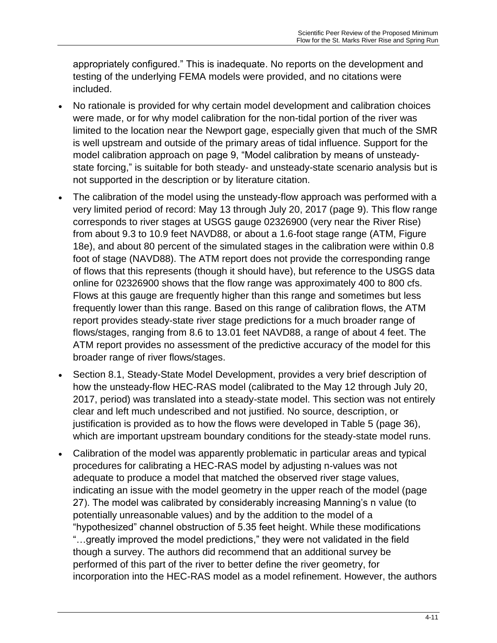appropriately configured." This is inadequate. No reports on the development and testing of the underlying FEMA models were provided, and no citations were included.

- No rationale is provided for why certain model development and calibration choices were made, or for why model calibration for the non-tidal portion of the river was limited to the location near the Newport gage, especially given that much of the SMR is well upstream and outside of the primary areas of tidal influence. Support for the model calibration approach on page 9, "Model calibration by means of unsteadystate forcing," is suitable for both steady- and unsteady-state scenario analysis but is not supported in the description or by literature citation.
- The calibration of the model using the unsteady-flow approach was performed with a very limited period of record: May 13 through July 20, 2017 (page 9). This flow range corresponds to river stages at USGS gauge 02326900 (very near the River Rise) from about 9.3 to 10.9 feet NAVD88, or about a 1.6-foot stage range (ATM, Figure 18e), and about 80 percent of the simulated stages in the calibration were within 0.8 foot of stage (NAVD88). The ATM report does not provide the corresponding range of flows that this represents (though it should have), but reference to the USGS data online for 02326900 shows that the flow range was approximately 400 to 800 cfs. Flows at this gauge are frequently higher than this range and sometimes but less frequently lower than this range. Based on this range of calibration flows, the ATM report provides steady-state river stage predictions for a much broader range of flows/stages, ranging from 8.6 to 13.01 feet NAVD88, a range of about 4 feet. The ATM report provides no assessment of the predictive accuracy of the model for this broader range of river flows/stages.
- Section 8.1, Steady-State Model Development, provides a very brief description of how the unsteady-flow HEC-RAS model (calibrated to the May 12 through July 20, 2017, period) was translated into a steady-state model. This section was not entirely clear and left much undescribed and not justified. No source, description, or justification is provided as to how the flows were developed in Table 5 (page 36), which are important upstream boundary conditions for the steady-state model runs.
- Calibration of the model was apparently problematic in particular areas and typical procedures for calibrating a HEC-RAS model by adjusting n-values was not adequate to produce a model that matched the observed river stage values, indicating an issue with the model geometry in the upper reach of the model (page 27). The model was calibrated by considerably increasing Manning's n value (to potentially unreasonable values) and by the addition to the model of a "hypothesized" channel obstruction of 5.35 feet height. While these modifications "…greatly improved the model predictions," they were not validated in the field though a survey. The authors did recommend that an additional survey be performed of this part of the river to better define the river geometry, for incorporation into the HEC-RAS model as a model refinement. However, the authors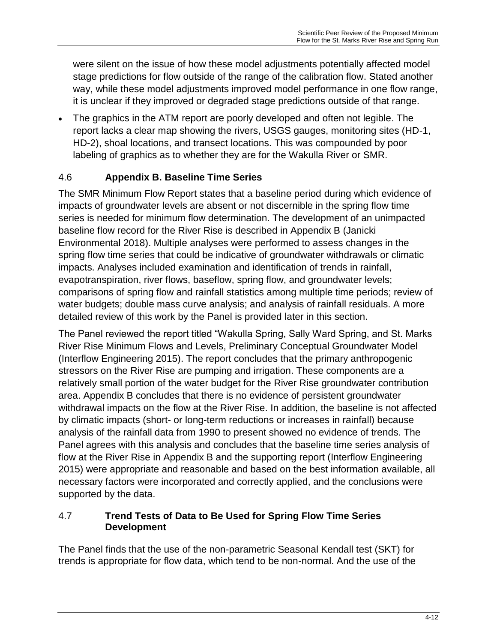were silent on the issue of how these model adjustments potentially affected model stage predictions for flow outside of the range of the calibration flow. Stated another way, while these model adjustments improved model performance in one flow range, it is unclear if they improved or degraded stage predictions outside of that range.

 The graphics in the ATM report are poorly developed and often not legible. The report lacks a clear map showing the rivers, USGS gauges, monitoring sites (HD-1, HD-2), shoal locations, and transect locations. This was compounded by poor labeling of graphics as to whether they are for the Wakulla River or SMR.

# <span id="page-30-0"></span>4.6 **Appendix B. Baseline Time Series**

The SMR Minimum Flow Report states that a baseline period during which evidence of impacts of groundwater levels are absent or not discernible in the spring flow time series is needed for minimum flow determination. The development of an unimpacted baseline flow record for the River Rise is described in Appendix B (Janicki Environmental 2018). Multiple analyses were performed to assess changes in the spring flow time series that could be indicative of groundwater withdrawals or climatic impacts. Analyses included examination and identification of trends in rainfall, evapotranspiration, river flows, baseflow, spring flow, and groundwater levels; comparisons of spring flow and rainfall statistics among multiple time periods; review of water budgets; double mass curve analysis; and analysis of rainfall residuals. A more detailed review of this work by the Panel is provided later in this section.

The Panel reviewed the report titled "Wakulla Spring, Sally Ward Spring, and St. Marks River Rise Minimum Flows and Levels, Preliminary Conceptual Groundwater Model (Interflow Engineering 2015). The report concludes that the primary anthropogenic stressors on the River Rise are pumping and irrigation. These components are a relatively small portion of the water budget for the River Rise groundwater contribution area. Appendix B concludes that there is no evidence of persistent groundwater withdrawal impacts on the flow at the River Rise. In addition, the baseline is not affected by climatic impacts (short- or long-term reductions or increases in rainfall) because analysis of the rainfall data from 1990 to present showed no evidence of trends. The Panel agrees with this analysis and concludes that the baseline time series analysis of flow at the River Rise in Appendix B and the supporting report (Interflow Engineering 2015) were appropriate and reasonable and based on the best information available, all necessary factors were incorporated and correctly applied, and the conclusions were supported by the data.

## <span id="page-30-1"></span>4.7 **Trend Tests of Data to Be Used for Spring Flow Time Series Development**

The Panel finds that the use of the non-parametric Seasonal Kendall test (SKT) for trends is appropriate for flow data, which tend to be non-normal. And the use of the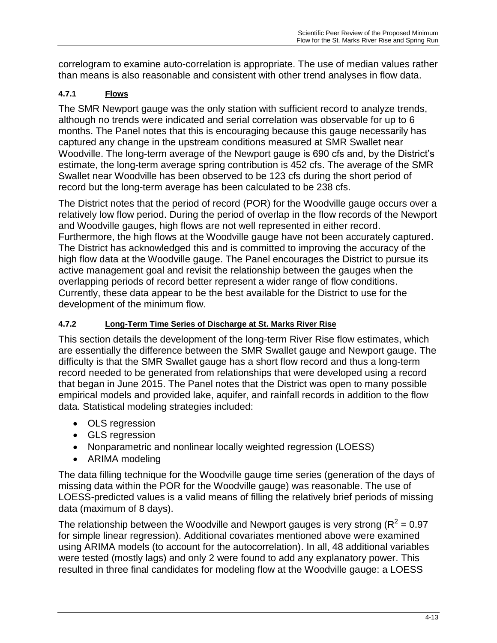correlogram to examine auto-correlation is appropriate. The use of median values rather than means is also reasonable and consistent with other trend analyses in flow data.

# <span id="page-31-0"></span>**4.7.1 Flows**

The SMR Newport gauge was the only station with sufficient record to analyze trends, although no trends were indicated and serial correlation was observable for up to 6 months. The Panel notes that this is encouraging because this gauge necessarily has captured any change in the upstream conditions measured at SMR Swallet near Woodville. The long-term average of the Newport gauge is 690 cfs and, by the District's estimate, the long-term average spring contribution is 452 cfs. The average of the SMR Swallet near Woodville has been observed to be 123 cfs during the short period of record but the long-term average has been calculated to be 238 cfs.

The District notes that the period of record (POR) for the Woodville gauge occurs over a relatively low flow period. During the period of overlap in the flow records of the Newport and Woodville gauges, high flows are not well represented in either record. Furthermore, the high flows at the Woodville gauge have not been accurately captured. The District has acknowledged this and is committed to improving the accuracy of the high flow data at the Woodville gauge. The Panel encourages the District to pursue its active management goal and revisit the relationship between the gauges when the overlapping periods of record better represent a wider range of flow conditions. Currently, these data appear to be the best available for the District to use for the development of the minimum flow.

## <span id="page-31-1"></span>**4.7.2 Long-Term Time Series of Discharge at St. Marks River Rise**

This section details the development of the long-term River Rise flow estimates, which are essentially the difference between the SMR Swallet gauge and Newport gauge. The difficulty is that the SMR Swallet gauge has a short flow record and thus a long-term record needed to be generated from relationships that were developed using a record that began in June 2015. The Panel notes that the District was open to many possible empirical models and provided lake, aquifer, and rainfall records in addition to the flow data. Statistical modeling strategies included:

- OLS regression
- GLS regression
- Nonparametric and nonlinear locally weighted regression (LOESS)
- ARIMA modeling

The data filling technique for the Woodville gauge time series (generation of the days of missing data within the POR for the Woodville gauge) was reasonable. The use of LOESS-predicted values is a valid means of filling the relatively brief periods of missing data (maximum of 8 days).

The relationship between the Woodville and Newport gauges is very strong ( $R^2$  = 0.97 for simple linear regression). Additional covariates mentioned above were examined using ARIMA models (to account for the autocorrelation). In all, 48 additional variables were tested (mostly lags) and only 2 were found to add any explanatory power. This resulted in three final candidates for modeling flow at the Woodville gauge: a LOESS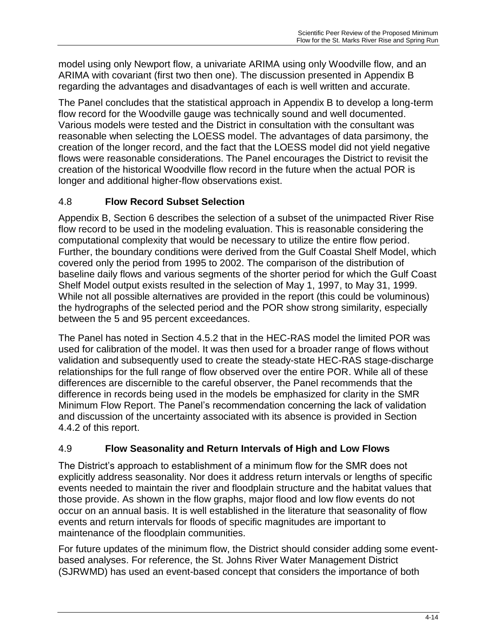model using only Newport flow, a univariate ARIMA using only Woodville flow, and an ARIMA with covariant (first two then one). The discussion presented in Appendix B regarding the advantages and disadvantages of each is well written and accurate.

The Panel concludes that the statistical approach in Appendix B to develop a long-term flow record for the Woodville gauge was technically sound and well documented. Various models were tested and the District in consultation with the consultant was reasonable when selecting the LOESS model. The advantages of data parsimony, the creation of the longer record, and the fact that the LOESS model did not yield negative flows were reasonable considerations. The Panel encourages the District to revisit the creation of the historical Woodville flow record in the future when the actual POR is longer and additional higher-flow observations exist.

## <span id="page-32-0"></span>4.8 **Flow Record Subset Selection**

Appendix B, Section 6 describes the selection of a subset of the unimpacted River Rise flow record to be used in the modeling evaluation. This is reasonable considering the computational complexity that would be necessary to utilize the entire flow period. Further, the boundary conditions were derived from the Gulf Coastal Shelf Model, which covered only the period from 1995 to 2002. The comparison of the distribution of baseline daily flows and various segments of the shorter period for which the Gulf Coast Shelf Model output exists resulted in the selection of May 1, 1997, to May 31, 1999. While not all possible alternatives are provided in the report (this could be voluminous) the hydrographs of the selected period and the POR show strong similarity, especially between the 5 and 95 percent exceedances.

The Panel has noted in Section 4.5.2 that in the HEC-RAS model the limited POR was used for calibration of the model. It was then used for a broader range of flows without validation and subsequently used to create the steady-state HEC-RAS stage-discharge relationships for the full range of flow observed over the entire POR. While all of these differences are discernible to the careful observer, the Panel recommends that the difference in records being used in the models be emphasized for clarity in the SMR Minimum Flow Report. The Panel's recommendation concerning the lack of validation and discussion of the uncertainty associated with its absence is provided in Section 4.4.2 of this report.

## <span id="page-32-1"></span>4.9 **Flow Seasonality and Return Intervals of High and Low Flows**

The District's approach to establishment of a minimum flow for the SMR does not explicitly address seasonality. Nor does it address return intervals or lengths of specific events needed to maintain the river and floodplain structure and the habitat values that those provide. As shown in the flow graphs, major flood and low flow events do not occur on an annual basis. It is well established in the literature that seasonality of flow events and return intervals for floods of specific magnitudes are important to maintenance of the floodplain communities.

For future updates of the minimum flow, the District should consider adding some eventbased analyses. For reference, the St. Johns River Water Management District (SJRWMD) has used an event-based concept that considers the importance of both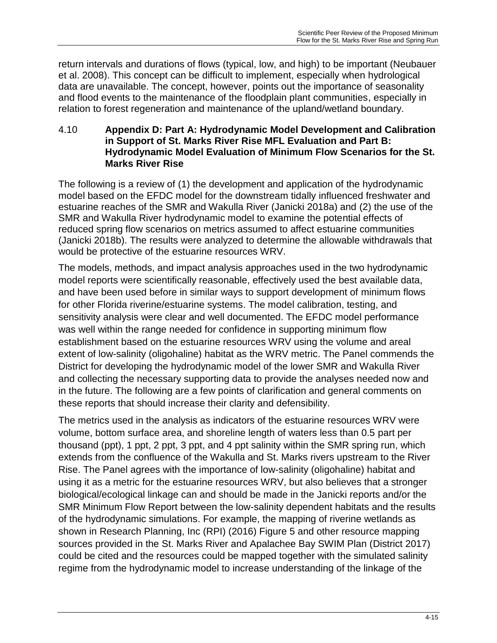return intervals and durations of flows (typical, low, and high) to be important (Neubauer et al. 2008). This concept can be difficult to implement, especially when hydrological data are unavailable. The concept, however, points out the importance of seasonality and flood events to the maintenance of the floodplain plant communities, especially in relation to forest regeneration and maintenance of the upland/wetland boundary.

#### <span id="page-33-0"></span>4.10 **Appendix D: Part A: Hydrodynamic Model Development and Calibration in Support of St. Marks River Rise MFL Evaluation and Part B: Hydrodynamic Model Evaluation of Minimum Flow Scenarios for the St. Marks River Rise**

The following is a review of (1) the development and application of the hydrodynamic model based on the EFDC model for the downstream tidally influenced freshwater and estuarine reaches of the SMR and Wakulla River (Janicki 2018a) and (2) the use of the SMR and Wakulla River hydrodynamic model to examine the potential effects of reduced spring flow scenarios on metrics assumed to affect estuarine communities (Janicki 2018b). The results were analyzed to determine the allowable withdrawals that would be protective of the estuarine resources WRV.

The models, methods, and impact analysis approaches used in the two hydrodynamic model reports were scientifically reasonable, effectively used the best available data, and have been used before in similar ways to support development of minimum flows for other Florida riverine/estuarine systems. The model calibration, testing, and sensitivity analysis were clear and well documented. The EFDC model performance was well within the range needed for confidence in supporting minimum flow establishment based on the estuarine resources WRV using the volume and areal extent of low-salinity (oligohaline) habitat as the WRV metric. The Panel commends the District for developing the hydrodynamic model of the lower SMR and Wakulla River and collecting the necessary supporting data to provide the analyses needed now and in the future. The following are a few points of clarification and general comments on these reports that should increase their clarity and defensibility.

The metrics used in the analysis as indicators of the estuarine resources WRV were volume, bottom surface area, and shoreline length of waters less than 0.5 part per thousand (ppt), 1 ppt, 2 ppt, 3 ppt, and 4 ppt salinity within the SMR spring run, which extends from the confluence of the Wakulla and St. Marks rivers upstream to the River Rise. The Panel agrees with the importance of low-salinity (oligohaline) habitat and using it as a metric for the estuarine resources WRV, but also believes that a stronger biological/ecological linkage can and should be made in the Janicki reports and/or the SMR Minimum Flow Report between the low-salinity dependent habitats and the results of the hydrodynamic simulations. For example, the mapping of riverine wetlands as shown in Research Planning, Inc (RPI) (2016) Figure 5 and other resource mapping sources provided in the St. Marks River and Apalachee Bay SWIM Plan (District 2017) could be cited and the resources could be mapped together with the simulated salinity regime from the hydrodynamic model to increase understanding of the linkage of the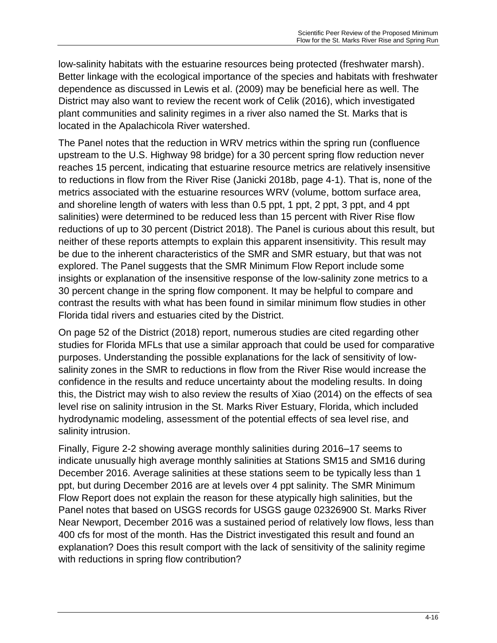low-salinity habitats with the estuarine resources being protected (freshwater marsh). Better linkage with the ecological importance of the species and habitats with freshwater dependence as discussed in Lewis et al. (2009) may be beneficial here as well. The District may also want to review the recent work of Celik (2016), which investigated plant communities and salinity regimes in a river also named the St. Marks that is located in the Apalachicola River watershed.

The Panel notes that the reduction in WRV metrics within the spring run (confluence upstream to the U.S. Highway 98 bridge) for a 30 percent spring flow reduction never reaches 15 percent, indicating that estuarine resource metrics are relatively insensitive to reductions in flow from the River Rise (Janicki 2018b, page 4-1). That is, none of the metrics associated with the estuarine resources WRV (volume, bottom surface area, and shoreline length of waters with less than 0.5 ppt, 1 ppt, 2 ppt, 3 ppt, and 4 ppt salinities) were determined to be reduced less than 15 percent with River Rise flow reductions of up to 30 percent (District 2018). The Panel is curious about this result, but neither of these reports attempts to explain this apparent insensitivity. This result may be due to the inherent characteristics of the SMR and SMR estuary, but that was not explored. The Panel suggests that the SMR Minimum Flow Report include some insights or explanation of the insensitive response of the low-salinity zone metrics to a 30 percent change in the spring flow component. It may be helpful to compare and contrast the results with what has been found in similar minimum flow studies in other Florida tidal rivers and estuaries cited by the District.

On page 52 of the District (2018) report, numerous studies are cited regarding other studies for Florida MFLs that use a similar approach that could be used for comparative purposes. Understanding the possible explanations for the lack of sensitivity of lowsalinity zones in the SMR to reductions in flow from the River Rise would increase the confidence in the results and reduce uncertainty about the modeling results. In doing this, the District may wish to also review the results of Xiao (2014) on the effects of sea level rise on salinity intrusion in the St. Marks River Estuary, Florida, which included hydrodynamic modeling, assessment of the potential effects of sea level rise, and salinity intrusion.

Finally, Figure 2-2 showing average monthly salinities during 2016–17 seems to indicate unusually high average monthly salinities at Stations SM15 and SM16 during December 2016. Average salinities at these stations seem to be typically less than 1 ppt, but during December 2016 are at levels over 4 ppt salinity. The SMR Minimum Flow Report does not explain the reason for these atypically high salinities, but the Panel notes that based on USGS records for USGS gauge 02326900 St. Marks River Near Newport, December 2016 was a sustained period of relatively low flows, less than 400 cfs for most of the month. Has the District investigated this result and found an explanation? Does this result comport with the lack of sensitivity of the salinity regime with reductions in spring flow contribution?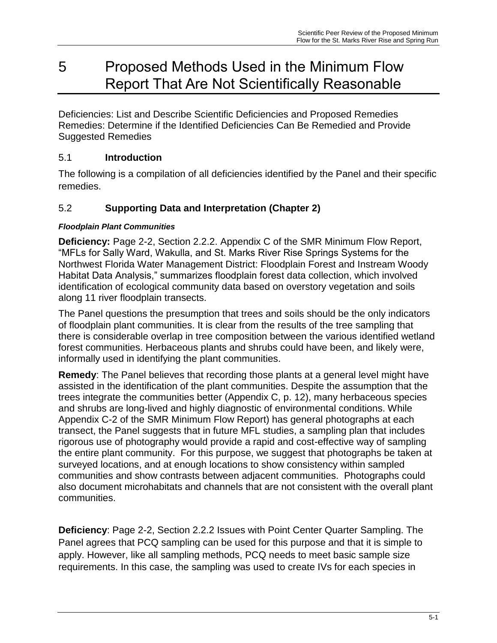# <span id="page-35-0"></span>5 Proposed Methods Used in the Minimum Flow Report That Are Not Scientifically Reasonable

<span id="page-35-2"></span><span id="page-35-1"></span>Deficiencies: List and Describe Scientific Deficiencies and Proposed Remedies Remedies: Determine if the Identified Deficiencies Can Be Remedied and Provide Suggested Remedies

## <span id="page-35-3"></span>5.1 **Introduction**

The following is a compilation of all deficiencies identified by the Panel and their specific remedies.

## <span id="page-35-4"></span>5.2 **Supporting Data and Interpretation (Chapter 2)**

### *Floodplain Plant Communities*

**Deficiency:** Page 2-2, Section 2.2.2. Appendix C of the SMR Minimum Flow Report, "MFLs for Sally Ward, Wakulla, and St. Marks River Rise Springs Systems for the Northwest Florida Water Management District: Floodplain Forest and Instream Woody Habitat Data Analysis," summarizes floodplain forest data collection, which involved identification of ecological community data based on overstory vegetation and soils along 11 river floodplain transects.

The Panel questions the presumption that trees and soils should be the only indicators of floodplain plant communities. It is clear from the results of the tree sampling that there is considerable overlap in tree composition between the various identified wetland forest communities. Herbaceous plants and shrubs could have been, and likely were, informally used in identifying the plant communities.

**Remedy**: The Panel believes that recording those plants at a general level might have assisted in the identification of the plant communities. Despite the assumption that the trees integrate the communities better (Appendix C, p. 12), many herbaceous species and shrubs are long-lived and highly diagnostic of environmental conditions. While Appendix C-2 of the SMR Minimum Flow Report) has general photographs at each transect, the Panel suggests that in future MFL studies, a sampling plan that includes rigorous use of photography would provide a rapid and cost-effective way of sampling the entire plant community. For this purpose, we suggest that photographs be taken at surveyed locations, and at enough locations to show consistency within sampled communities and show contrasts between adjacent communities. Photographs could also document microhabitats and channels that are not consistent with the overall plant communities.

**Deficiency**: Page 2-2, Section 2.2.2 Issues with Point Center Quarter Sampling. The Panel agrees that PCQ sampling can be used for this purpose and that it is simple to apply. However, like all sampling methods, PCQ needs to meet basic sample size requirements. In this case, the sampling was used to create IVs for each species in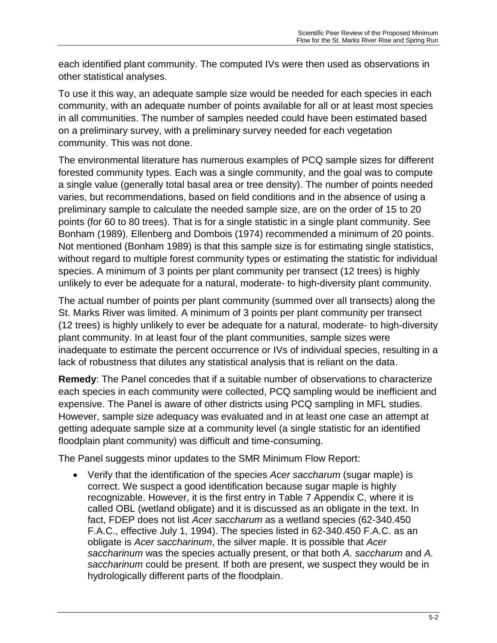each identified plant community. The computed IVs were then used as observations in other statistical analyses.

To use it this way, an adequate sample size would be needed for each species in each community, with an adequate number of points available for all or at least most species in all communities. The number of samples needed could have been estimated based on a preliminary survey, with a preliminary survey needed for each vegetation community. This was not done.

The environmental literature has numerous examples of PCQ sample sizes for different forested community types. Each was a single community, and the goal was to compute a single value (generally total basal area or tree density). The number of points needed varies, but recommendations, based on field conditions and in the absence of using a preliminary sample to calculate the needed sample size, are on the order of 15 to 20 points (for 60 to 80 trees). That is for a single statistic in a single plant community. See Bonham (1989). Ellenberg and Dombois (1974) recommended a minimum of 20 points. Not mentioned (Bonham 1989) is that this sample size is for estimating single statistics, without regard to multiple forest community types or estimating the statistic for individual species. A minimum of 3 points per plant community per transect (12 trees) is highly unlikely to ever be adequate for a natural, moderate- to high-diversity plant community.

The actual number of points per plant community (summed over all transects) along the St. Marks River was limited. A minimum of 3 points per plant community per transect (12 trees) is highly unlikely to ever be adequate for a natural, moderate- to high-diversity plant community. In at least four of the plant communities, sample sizes were inadequate to estimate the percent occurrence or IVs of individual species, resulting in a lack of robustness that dilutes any statistical analysis that is reliant on the data.

**Remedy**: The Panel concedes that if a suitable number of observations to characterize each species in each community were collected, PCQ sampling would be inefficient and expensive. The Panel is aware of other districts using PCQ sampling in MFL studies. However, sample size adequacy was evaluated and in at least one case an attempt at getting adequate sample size at a community level (a single statistic for an identified floodplain plant community) was difficult and time-consuming.

The Panel suggests minor updates to the SMR Minimum Flow Report:

 Verify that the identification of the species *Acer saccharum* (sugar maple) is correct. We suspect a good identification because sugar maple is highly recognizable. However, it is the first entry in Table 7 Appendix C, where it is called OBL (wetland obligate) and it is discussed as an obligate in the text. In fact, FDEP does not list *Acer saccharum* as a wetland species (62-340.450 F.A.C., effective July 1, 1994). The species listed in 62-340.450 F.A.C. as an obligate is *Acer saccharinum*, the silver maple. It is possible that *Acer saccharinum* was the species actually present, or that both *A. saccharum* and *A. saccharinum* could be present. If both are present, we suspect they would be in hydrologically different parts of the floodplain.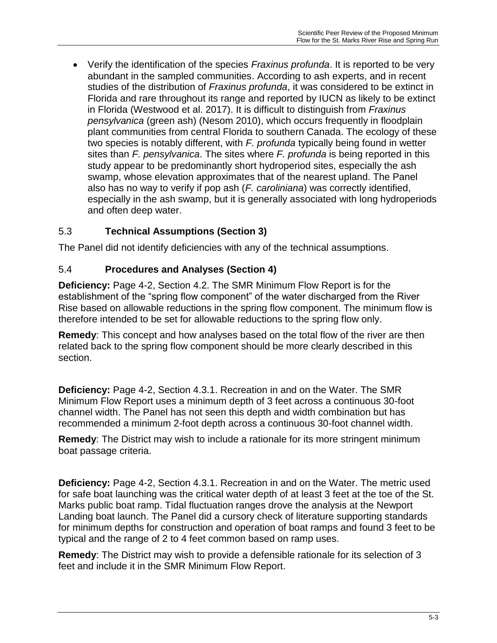Verify the identification of the species *Fraxinus profunda*. It is reported to be very abundant in the sampled communities. According to ash experts, and in recent studies of the distribution of *Fraxinus profunda*, it was considered to be extinct in Florida and rare throughout its range and reported by IUCN as likely to be extinct in Florida (Westwood et al. 2017). It is difficult to distinguish from *Fraxinus pensylvanica* (green ash) (Nesom 2010), which occurs frequently in floodplain plant communities from central Florida to southern Canada. The ecology of these two species is notably different, with *F. profunda* typically being found in wetter sites than *F. pensylvanica*. The sites where *F. profunda* is being reported in this study appear to be predominantly short hydroperiod sites, especially the ash swamp, whose elevation approximates that of the nearest upland. The Panel also has no way to verify if pop ash (*F. caroliniana*) was correctly identified, especially in the ash swamp, but it is generally associated with long hydroperiods and often deep water.

## <span id="page-37-0"></span>5.3 **Technical Assumptions (Section 3)**

The Panel did not identify deficiencies with any of the technical assumptions.

### <span id="page-37-1"></span>5.4 **Procedures and Analyses (Section 4)**

**Deficiency:** Page 4-2, Section 4.2. The SMR Minimum Flow Report is for the establishment of the "spring flow component" of the water discharged from the River Rise based on allowable reductions in the spring flow component. The minimum flow is therefore intended to be set for allowable reductions to the spring flow only.

**Remedy**: This concept and how analyses based on the total flow of the river are then related back to the spring flow component should be more clearly described in this section.

**Deficiency:** Page 4-2, Section 4.3.1. Recreation in and on the Water. The SMR Minimum Flow Report uses a minimum depth of 3 feet across a continuous 30-foot channel width. The Panel has not seen this depth and width combination but has recommended a minimum 2-foot depth across a continuous 30-foot channel width.

**Remedy**: The District may wish to include a rationale for its more stringent minimum boat passage criteria.

**Deficiency:** Page 4-2, Section 4.3.1. Recreation in and on the Water. The metric used for safe boat launching was the critical water depth of at least 3 feet at the toe of the St. Marks public boat ramp. Tidal fluctuation ranges drove the analysis at the Newport Landing boat launch. The Panel did a cursory check of literature supporting standards for minimum depths for construction and operation of boat ramps and found 3 feet to be typical and the range of 2 to 4 feet common based on ramp uses.

**Remedy**: The District may wish to provide a defensible rationale for its selection of 3 feet and include it in the SMR Minimum Flow Report.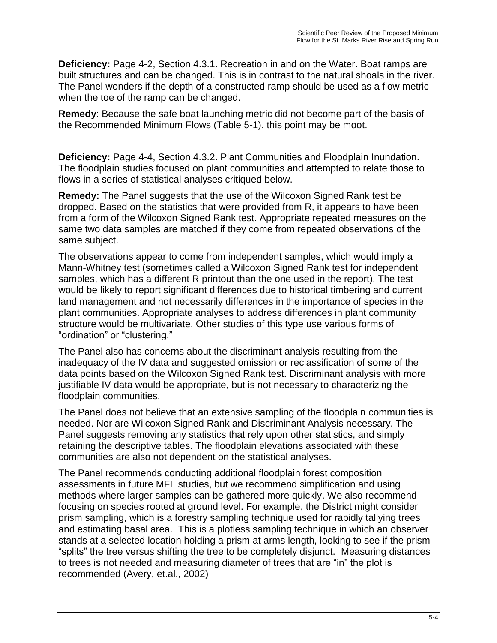**Deficiency:** Page 4-2, Section 4.3.1. Recreation in and on the Water. Boat ramps are built structures and can be changed. This is in contrast to the natural shoals in the river. The Panel wonders if the depth of a constructed ramp should be used as a flow metric when the toe of the ramp can be changed.

**Remedy**: Because the safe boat launching metric did not become part of the basis of the Recommended Minimum Flows (Table 5-1), this point may be moot.

**Deficiency:** Page 4-4, Section 4.3.2. Plant Communities and Floodplain Inundation. The floodplain studies focused on plant communities and attempted to relate those to flows in a series of statistical analyses critiqued below.

**Remedy:** The Panel suggests that the use of the Wilcoxon Signed Rank test be dropped. Based on the statistics that were provided from R, it appears to have been from a form of the Wilcoxon Signed Rank test. Appropriate repeated measures on the same two data samples are matched if they come from repeated observations of the same subject.

The observations appear to come from independent samples, which would imply a Mann-Whitney test (sometimes called a Wilcoxon Signed Rank test for independent samples, which has a different R printout than the one used in the report). The test would be likely to report significant differences due to historical timbering and current land management and not necessarily differences in the importance of species in the plant communities. Appropriate analyses to address differences in plant community structure would be multivariate. Other studies of this type use various forms of "ordination" or "clustering."

The Panel also has concerns about the discriminant analysis resulting from the inadequacy of the IV data and suggested omission or reclassification of some of the data points based on the Wilcoxon Signed Rank test. Discriminant analysis with more justifiable IV data would be appropriate, but is not necessary to characterizing the floodplain communities.

The Panel does not believe that an extensive sampling of the floodplain communities is needed. Nor are Wilcoxon Signed Rank and Discriminant Analysis necessary. The Panel suggests removing any statistics that rely upon other statistics, and simply retaining the descriptive tables. The floodplain elevations associated with these communities are also not dependent on the statistical analyses.

The Panel recommends conducting additional floodplain forest composition assessments in future MFL studies, but we recommend simplification and using methods where larger samples can be gathered more quickly. We also recommend focusing on species rooted at ground level. For example, the District might consider prism sampling, which is a forestry sampling technique used for rapidly tallying trees and estimating basal area. This is a plotless sampling technique in which an observer stands at a selected location holding a prism at arms length, looking to see if the prism "splits" the tree versus shifting the tree to be completely disjunct. Measuring distances to trees is not needed and measuring diameter of trees that are "in" the plot is recommended (Avery, et.al., 2002)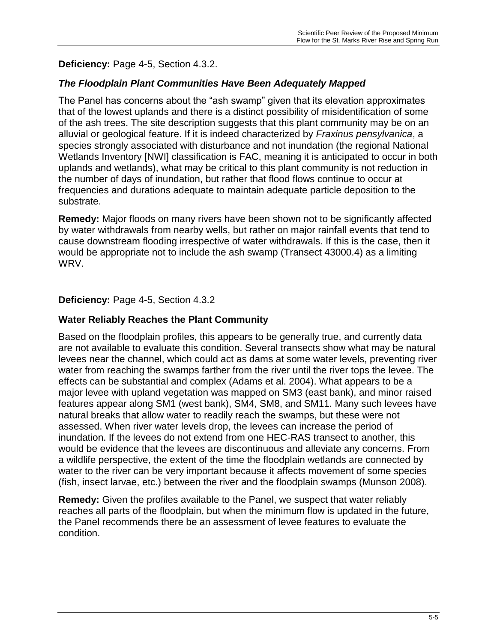## **Deficiency:** Page 4-5, Section 4.3.2.

## *The Floodplain Plant Communities Have Been Adequately Mapped*

The Panel has concerns about the "ash swamp" given that its elevation approximates that of the lowest uplands and there is a distinct possibility of misidentification of some of the ash trees. The site description suggests that this plant community may be on an alluvial or geological feature. If it is indeed characterized by *Fraxinus pensylvanica*, a species strongly associated with disturbance and not inundation (the regional National Wetlands Inventory [NWI] classification is FAC, meaning it is anticipated to occur in both uplands and wetlands), what may be critical to this plant community is not reduction in the number of days of inundation, but rather that flood flows continue to occur at frequencies and durations adequate to maintain adequate particle deposition to the substrate.

**Remedy:** Major floods on many rivers have been shown not to be significantly affected by water withdrawals from nearby wells, but rather on major rainfall events that tend to cause downstream flooding irrespective of water withdrawals. If this is the case, then it would be appropriate not to include the ash swamp (Transect 43000.4) as a limiting WRV.

#### **Deficiency:** Page 4-5, Section 4.3.2

#### **Water Reliably Reaches the Plant Community**

Based on the floodplain profiles, this appears to be generally true, and currently data are not available to evaluate this condition. Several transects show what may be natural levees near the channel, which could act as dams at some water levels, preventing river water from reaching the swamps farther from the river until the river tops the levee. The effects can be substantial and complex (Adams et al. 2004). What appears to be a major levee with upland vegetation was mapped on SM3 (east bank), and minor raised features appear along SM1 (west bank), SM4, SM8, and SM11. Many such levees have natural breaks that allow water to readily reach the swamps, but these were not assessed. When river water levels drop, the levees can increase the period of inundation. If the levees do not extend from one HEC-RAS transect to another, this would be evidence that the levees are discontinuous and alleviate any concerns. From a wildlife perspective, the extent of the time the floodplain wetlands are connected by water to the river can be very important because it affects movement of some species (fish, insect larvae, etc.) between the river and the floodplain swamps (Munson 2008).

**Remedy:** Given the profiles available to the Panel, we suspect that water reliably reaches all parts of the floodplain, but when the minimum flow is updated in the future, the Panel recommends there be an assessment of levee features to evaluate the condition.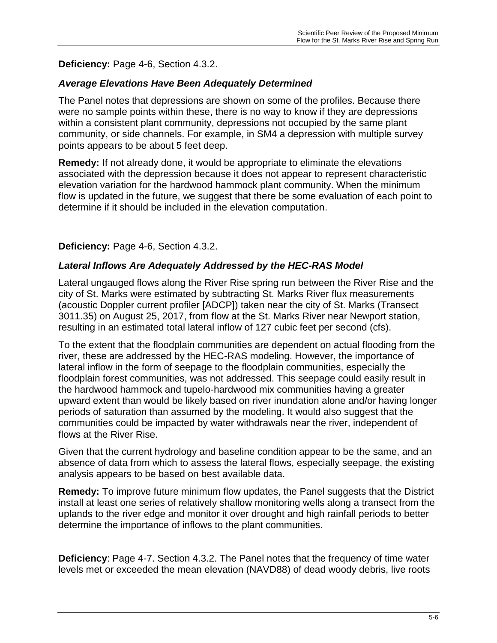## **Deficiency:** Page 4-6, Section 4.3.2.

## *Average Elevations Have Been Adequately Determined*

The Panel notes that depressions are shown on some of the profiles. Because there were no sample points within these, there is no way to know if they are depressions within a consistent plant community, depressions not occupied by the same plant community, or side channels. For example, in SM4 a depression with multiple survey points appears to be about 5 feet deep.

**Remedy:** If not already done, it would be appropriate to eliminate the elevations associated with the depression because it does not appear to represent characteristic elevation variation for the hardwood hammock plant community. When the minimum flow is updated in the future, we suggest that there be some evaluation of each point to determine if it should be included in the elevation computation.

## **Deficiency:** Page 4-6, Section 4.3.2.

## *Lateral Inflows Are Adequately Addressed by the HEC-RAS Model*

Lateral ungauged flows along the River Rise spring run between the River Rise and the city of St. Marks were estimated by subtracting St. Marks River flux measurements (acoustic Doppler current profiler [ADCP]) taken near the city of St. Marks (Transect 3011.35) on August 25, 2017, from flow at the St. Marks River near Newport station, resulting in an estimated total lateral inflow of 127 cubic feet per second (cfs).

To the extent that the floodplain communities are dependent on actual flooding from the river, these are addressed by the HEC-RAS modeling. However, the importance of lateral inflow in the form of seepage to the floodplain communities, especially the floodplain forest communities, was not addressed. This seepage could easily result in the hardwood hammock and tupelo-hardwood mix communities having a greater upward extent than would be likely based on river inundation alone and/or having longer periods of saturation than assumed by the modeling. It would also suggest that the communities could be impacted by water withdrawals near the river, independent of flows at the River Rise.

Given that the current hydrology and baseline condition appear to be the same, and an absence of data from which to assess the lateral flows, especially seepage, the existing analysis appears to be based on best available data.

**Remedy:** To improve future minimum flow updates, the Panel suggests that the District install at least one series of relatively shallow monitoring wells along a transect from the uplands to the river edge and monitor it over drought and high rainfall periods to better determine the importance of inflows to the plant communities.

**Deficiency**: Page 4-7. Section 4.3.2. The Panel notes that the frequency of time water levels met or exceeded the mean elevation (NAVD88) of dead woody debris, live roots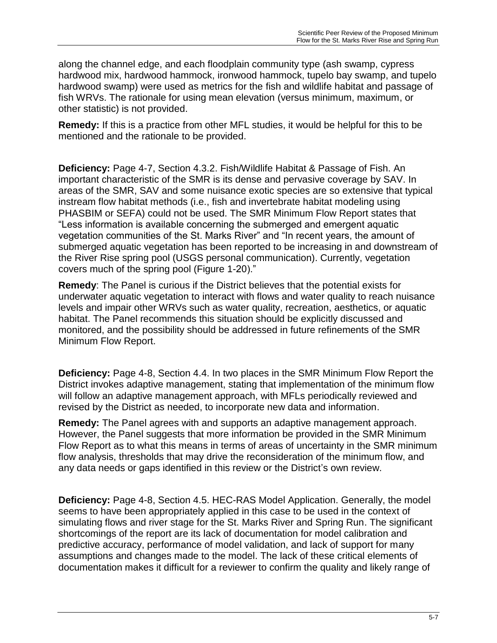along the channel edge, and each floodplain community type (ash swamp, cypress hardwood mix, hardwood hammock, ironwood hammock, tupelo bay swamp, and tupelo hardwood swamp) were used as metrics for the fish and wildlife habitat and passage of fish WRVs. The rationale for using mean elevation (versus minimum, maximum, or other statistic) is not provided.

**Remedy:** If this is a practice from other MFL studies, it would be helpful for this to be mentioned and the rationale to be provided.

**Deficiency:** Page 4-7, Section 4.3.2. Fish/Wildlife Habitat & Passage of Fish. An important characteristic of the SMR is its dense and pervasive coverage by SAV. In areas of the SMR, SAV and some nuisance exotic species are so extensive that typical instream flow habitat methods (i.e., fish and invertebrate habitat modeling using PHASBIM or SEFA) could not be used. The SMR Minimum Flow Report states that "Less information is available concerning the submerged and emergent aquatic vegetation communities of the St. Marks River" and "In recent years, the amount of submerged aquatic vegetation has been reported to be increasing in and downstream of the River Rise spring pool (USGS personal communication). Currently, vegetation covers much of the spring pool (Figure 1-20)."

**Remedy**: The Panel is curious if the District believes that the potential exists for underwater aquatic vegetation to interact with flows and water quality to reach nuisance levels and impair other WRVs such as water quality, recreation, aesthetics, or aquatic habitat. The Panel recommends this situation should be explicitly discussed and monitored, and the possibility should be addressed in future refinements of the SMR Minimum Flow Report.

**Deficiency:** Page 4-8, Section 4.4. In two places in the SMR Minimum Flow Report the District invokes adaptive management, stating that implementation of the minimum flow will follow an adaptive management approach, with MFLs periodically reviewed and revised by the District as needed, to incorporate new data and information.

**Remedy:** The Panel agrees with and supports an adaptive management approach. However, the Panel suggests that more information be provided in the SMR Minimum Flow Report as to what this means in terms of areas of uncertainty in the SMR minimum flow analysis, thresholds that may drive the reconsideration of the minimum flow, and any data needs or gaps identified in this review or the District's own review.

**Deficiency:** Page 4-8, Section 4.5. HEC-RAS Model Application. Generally, the model seems to have been appropriately applied in this case to be used in the context of simulating flows and river stage for the St. Marks River and Spring Run. The significant shortcomings of the report are its lack of documentation for model calibration and predictive accuracy, performance of model validation, and lack of support for many assumptions and changes made to the model. The lack of these critical elements of documentation makes it difficult for a reviewer to confirm the quality and likely range of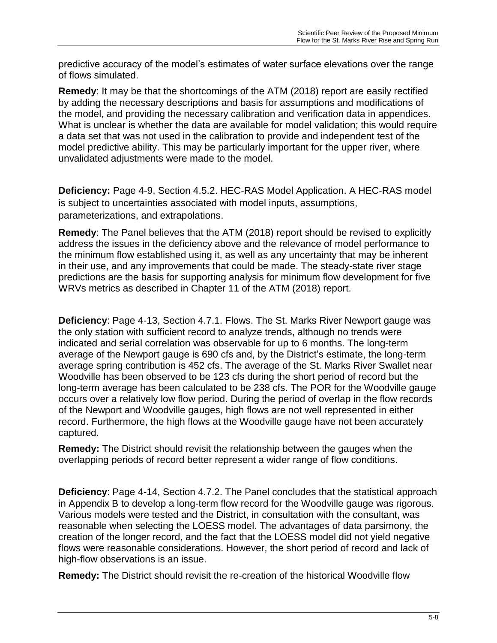predictive accuracy of the model's estimates of water surface elevations over the range of flows simulated.

**Remedy**: It may be that the shortcomings of the ATM (2018) report are easily rectified by adding the necessary descriptions and basis for assumptions and modifications of the model, and providing the necessary calibration and verification data in appendices. What is unclear is whether the data are available for model validation; this would require a data set that was not used in the calibration to provide and independent test of the model predictive ability. This may be particularly important for the upper river, where unvalidated adjustments were made to the model.

**Deficiency:** Page 4-9, Section 4.5.2. HEC-RAS Model Application. A HEC-RAS model is subject to uncertainties associated with model inputs, assumptions, parameterizations, and extrapolations.

**Remedy**: The Panel believes that the ATM (2018) report should be revised to explicitly address the issues in the deficiency above and the relevance of model performance to the minimum flow established using it, as well as any uncertainty that may be inherent in their use, and any improvements that could be made. The steady-state river stage predictions are the basis for supporting analysis for minimum flow development for five WRVs metrics as described in Chapter 11 of the ATM (2018) report.

**Deficiency**: Page 4-13, Section 4.7.1. Flows. The St. Marks River Newport gauge was the only station with sufficient record to analyze trends, although no trends were indicated and serial correlation was observable for up to 6 months. The long-term average of the Newport gauge is 690 cfs and, by the District's estimate, the long-term average spring contribution is 452 cfs. The average of the St. Marks River Swallet near Woodville has been observed to be 123 cfs during the short period of record but the long-term average has been calculated to be 238 cfs. The POR for the Woodville gauge occurs over a relatively low flow period. During the period of overlap in the flow records of the Newport and Woodville gauges, high flows are not well represented in either record. Furthermore, the high flows at the Woodville gauge have not been accurately captured.

**Remedy:** The District should revisit the relationship between the gauges when the overlapping periods of record better represent a wider range of flow conditions.

**Deficiency**: Page 4-14, Section 4.7.2. The Panel concludes that the statistical approach in Appendix B to develop a long-term flow record for the Woodville gauge was rigorous. Various models were tested and the District, in consultation with the consultant, was reasonable when selecting the LOESS model. The advantages of data parsimony, the creation of the longer record, and the fact that the LOESS model did not yield negative flows were reasonable considerations. However, the short period of record and lack of high-flow observations is an issue.

**Remedy:** The District should revisit the re-creation of the historical Woodville flow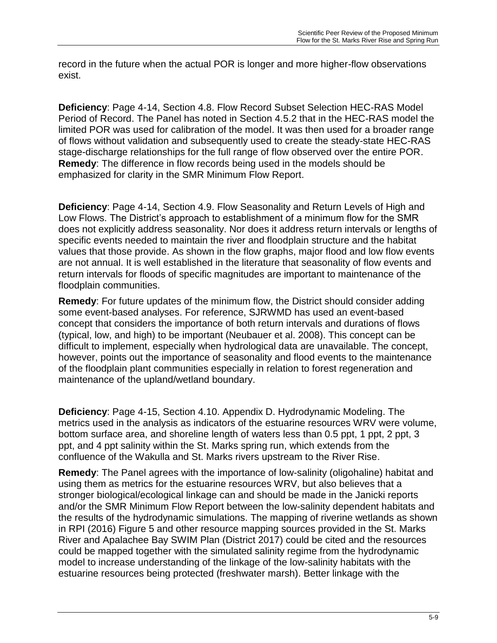record in the future when the actual POR is longer and more higher-flow observations exist.

**Deficiency**: Page 4-14, Section 4.8. Flow Record Subset Selection HEC-RAS Model Period of Record. The Panel has noted in Section 4.5.2 that in the HEC-RAS model the limited POR was used for calibration of the model. It was then used for a broader range of flows without validation and subsequently used to create the steady-state HEC-RAS stage-discharge relationships for the full range of flow observed over the entire POR. **Remedy**: The difference in flow records being used in the models should be emphasized for clarity in the SMR Minimum Flow Report.

**Deficiency**: Page 4-14, Section 4.9. Flow Seasonality and Return Levels of High and Low Flows. The District's approach to establishment of a minimum flow for the SMR does not explicitly address seasonality. Nor does it address return intervals or lengths of specific events needed to maintain the river and floodplain structure and the habitat values that those provide. As shown in the flow graphs, major flood and low flow events are not annual. It is well established in the literature that seasonality of flow events and return intervals for floods of specific magnitudes are important to maintenance of the floodplain communities.

**Remedy**: For future updates of the minimum flow, the District should consider adding some event-based analyses. For reference, SJRWMD has used an event-based concept that considers the importance of both return intervals and durations of flows (typical, low, and high) to be important (Neubauer et al. 2008). This concept can be difficult to implement, especially when hydrological data are unavailable. The concept, however, points out the importance of seasonality and flood events to the maintenance of the floodplain plant communities especially in relation to forest regeneration and maintenance of the upland/wetland boundary.

**Deficiency**: Page 4-15, Section 4.10. Appendix D. Hydrodynamic Modeling. The metrics used in the analysis as indicators of the estuarine resources WRV were volume, bottom surface area, and shoreline length of waters less than 0.5 ppt, 1 ppt, 2 ppt, 3 ppt, and 4 ppt salinity within the St. Marks spring run, which extends from the confluence of the Wakulla and St. Marks rivers upstream to the River Rise.

**Remedy**: The Panel agrees with the importance of low-salinity (oligohaline) habitat and using them as metrics for the estuarine resources WRV, but also believes that a stronger biological/ecological linkage can and should be made in the Janicki reports and/or the SMR Minimum Flow Report between the low-salinity dependent habitats and the results of the hydrodynamic simulations. The mapping of riverine wetlands as shown in RPI (2016) Figure 5 and other resource mapping sources provided in the St. Marks River and Apalachee Bay SWIM Plan (District 2017) could be cited and the resources could be mapped together with the simulated salinity regime from the hydrodynamic model to increase understanding of the linkage of the low-salinity habitats with the estuarine resources being protected (freshwater marsh). Better linkage with the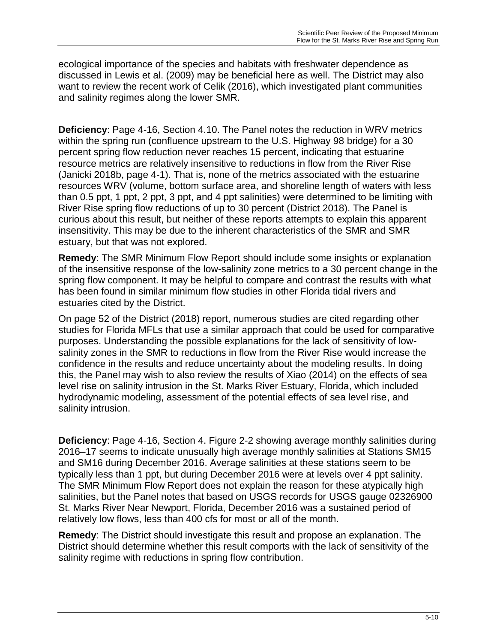ecological importance of the species and habitats with freshwater dependence as discussed in Lewis et al. (2009) may be beneficial here as well. The District may also want to review the recent work of Celik (2016), which investigated plant communities and salinity regimes along the lower SMR.

**Deficiency**: Page 4-16, Section 4.10. The Panel notes the reduction in WRV metrics within the spring run (confluence upstream to the U.S. Highway 98 bridge) for a 30 percent spring flow reduction never reaches 15 percent, indicating that estuarine resource metrics are relatively insensitive to reductions in flow from the River Rise (Janicki 2018b, page 4-1). That is, none of the metrics associated with the estuarine resources WRV (volume, bottom surface area, and shoreline length of waters with less than 0.5 ppt, 1 ppt, 2 ppt, 3 ppt, and 4 ppt salinities) were determined to be limiting with River Rise spring flow reductions of up to 30 percent (District 2018). The Panel is curious about this result, but neither of these reports attempts to explain this apparent insensitivity. This may be due to the inherent characteristics of the SMR and SMR estuary, but that was not explored.

**Remedy**: The SMR Minimum Flow Report should include some insights or explanation of the insensitive response of the low-salinity zone metrics to a 30 percent change in the spring flow component. It may be helpful to compare and contrast the results with what has been found in similar minimum flow studies in other Florida tidal rivers and estuaries cited by the District.

On page 52 of the District (2018) report, numerous studies are cited regarding other studies for Florida MFLs that use a similar approach that could be used for comparative purposes. Understanding the possible explanations for the lack of sensitivity of lowsalinity zones in the SMR to reductions in flow from the River Rise would increase the confidence in the results and reduce uncertainty about the modeling results. In doing this, the Panel may wish to also review the results of Xiao (2014) on the effects of sea level rise on salinity intrusion in the St. Marks River Estuary, Florida, which included hydrodynamic modeling, assessment of the potential effects of sea level rise, and salinity intrusion.

**Deficiency**: Page 4-16, Section 4. Figure 2-2 showing average monthly salinities during 2016–17 seems to indicate unusually high average monthly salinities at Stations SM15 and SM16 during December 2016. Average salinities at these stations seem to be typically less than 1 ppt, but during December 2016 were at levels over 4 ppt salinity. The SMR Minimum Flow Report does not explain the reason for these atypically high salinities, but the Panel notes that based on USGS records for USGS gauge 02326900 St. Marks River Near Newport, Florida, December 2016 was a sustained period of relatively low flows, less than 400 cfs for most or all of the month.

**Remedy**: The District should investigate this result and propose an explanation. The District should determine whether this result comports with the lack of sensitivity of the salinity regime with reductions in spring flow contribution.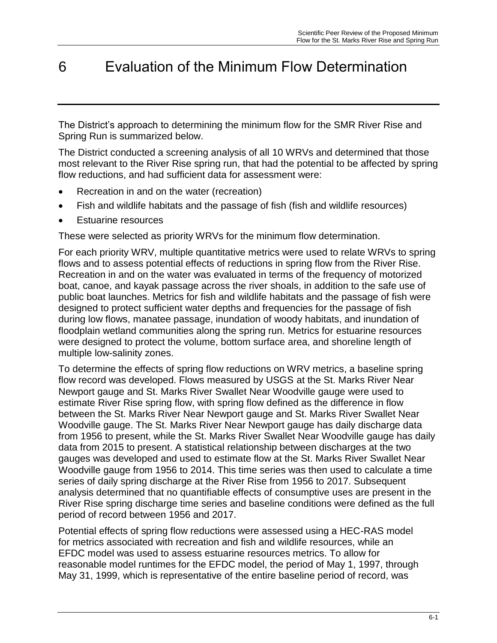# <span id="page-45-0"></span>6 Evaluation of the Minimum Flow Determination

The District's approach to determining the minimum flow for the SMR River Rise and Spring Run is summarized below.

The District conducted a screening analysis of all 10 WRVs and determined that those most relevant to the River Rise spring run, that had the potential to be affected by spring flow reductions, and had sufficient data for assessment were:

- Recreation in and on the water (recreation)
- Fish and wildlife habitats and the passage of fish (fish and wildlife resources)
- Estuarine resources

These were selected as priority WRVs for the minimum flow determination.

For each priority WRV, multiple quantitative metrics were used to relate WRVs to spring flows and to assess potential effects of reductions in spring flow from the River Rise. Recreation in and on the water was evaluated in terms of the frequency of motorized boat, canoe, and kayak passage across the river shoals, in addition to the safe use of public boat launches. Metrics for fish and wildlife habitats and the passage of fish were designed to protect sufficient water depths and frequencies for the passage of fish during low flows, manatee passage, inundation of woody habitats, and inundation of floodplain wetland communities along the spring run. Metrics for estuarine resources were designed to protect the volume, bottom surface area, and shoreline length of multiple low-salinity zones.

To determine the effects of spring flow reductions on WRV metrics, a baseline spring flow record was developed. Flows measured by USGS at the St. Marks River Near Newport gauge and St. Marks River Swallet Near Woodville gauge were used to estimate River Rise spring flow, with spring flow defined as the difference in flow between the St. Marks River Near Newport gauge and St. Marks River Swallet Near Woodville gauge. The St. Marks River Near Newport gauge has daily discharge data from 1956 to present, while the St. Marks River Swallet Near Woodville gauge has daily data from 2015 to present. A statistical relationship between discharges at the two gauges was developed and used to estimate flow at the St. Marks River Swallet Near Woodville gauge from 1956 to 2014. This time series was then used to calculate a time series of daily spring discharge at the River Rise from 1956 to 2017. Subsequent analysis determined that no quantifiable effects of consumptive uses are present in the River Rise spring discharge time series and baseline conditions were defined as the full period of record between 1956 and 2017.

Potential effects of spring flow reductions were assessed using a HEC-RAS model for metrics associated with recreation and fish and wildlife resources, while an EFDC model was used to assess estuarine resources metrics. To allow for reasonable model runtimes for the EFDC model, the period of May 1, 1997, through May 31, 1999, which is representative of the entire baseline period of record, was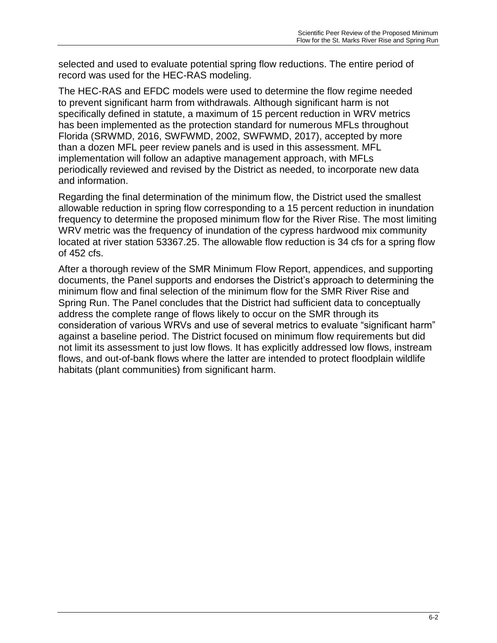selected and used to evaluate potential spring flow reductions. The entire period of record was used for the HEC-RAS modeling.

The HEC-RAS and EFDC models were used to determine the flow regime needed to prevent significant harm from withdrawals. Although significant harm is not specifically defined in statute, a maximum of 15 percent reduction in WRV metrics has been implemented as the protection standard for numerous MFLs throughout Florida (SRWMD, 2016, SWFWMD, 2002, SWFWMD, 2017), accepted by more than a dozen MFL peer review panels and is used in this assessment. MFL implementation will follow an adaptive management approach, with MFLs periodically reviewed and revised by the District as needed, to incorporate new data and information.

Regarding the final determination of the minimum flow, the District used the smallest allowable reduction in spring flow corresponding to a 15 percent reduction in inundation frequency to determine the proposed minimum flow for the River Rise. The most limiting WRV metric was the frequency of inundation of the cypress hardwood mix community located at river station 53367.25. The allowable flow reduction is 34 cfs for a spring flow of 452 cfs.

After a thorough review of the SMR Minimum Flow Report, appendices, and supporting documents, the Panel supports and endorses the District's approach to determining the minimum flow and final selection of the minimum flow for the SMR River Rise and Spring Run. The Panel concludes that the District had sufficient data to conceptually address the complete range of flows likely to occur on the SMR through its consideration of various WRVs and use of several metrics to evaluate "significant harm" against a baseline period. The District focused on minimum flow requirements but did not limit its assessment to just low flows. It has explicitly addressed low flows, instream flows, and out-of-bank flows where the latter are intended to protect floodplain wildlife habitats (plant communities) from significant harm.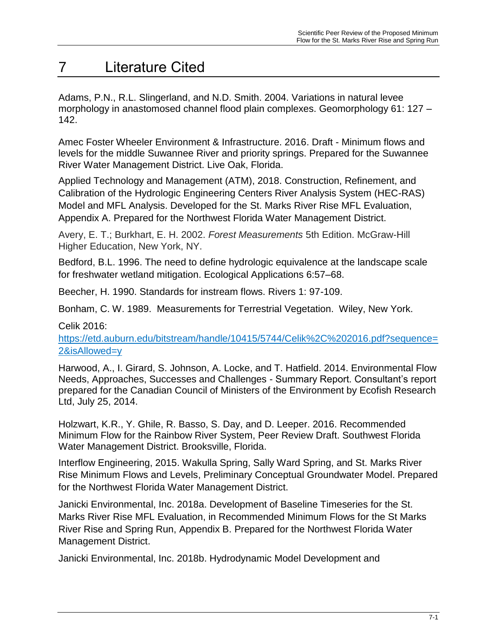# <span id="page-47-0"></span>7 Literature Cited

Adams, P.N., R.L. Slingerland, and N.D. Smith. 2004. Variations in natural levee morphology in anastomosed channel flood plain complexes. Geomorphology 61: 127 – 142.

Amec Foster Wheeler Environment & Infrastructure. 2016. Draft - Minimum flows and levels for the middle Suwannee River and priority springs. Prepared for the Suwannee River Water Management District. Live Oak, Florida.

Applied Technology and Management (ATM), 2018. Construction, Refinement, and Calibration of the Hydrologic Engineering Centers River Analysis System (HEC-RAS) Model and MFL Analysis. Developed for the St. Marks River Rise MFL Evaluation, Appendix A. Prepared for the Northwest Florida Water Management District.

Avery, E. T.; Burkhart, E. H. 2002. *Forest Measurements* 5th Edition. McGraw-Hill Higher Education, New York, NY.

Bedford, B.L. 1996. The need to define hydrologic equivalence at the landscape scale for freshwater wetland mitigation. Ecological Applications 6:57–68.

Beecher, H. 1990. Standards for instream flows. Rivers 1: 97-109.

Bonham, C. W. 1989. Measurements for Terrestrial Vegetation. Wiley, New York.

Celik 2016:

https://etd.auburn.edu/bitstream/handle/10415/5744/Celik%2C%202016.pdf?sequence= 2&isAllowed=y

Harwood, A., I. Girard, S. Johnson, A. Locke, and T. Hatfield. 2014. Environmental Flow Needs, Approaches, Successes and Challenges - Summary Report. Consultant's report prepared for the Canadian Council of Ministers of the Environment by Ecofish Research Ltd, July 25, 2014.

Holzwart, K.R., Y. Ghile, R. Basso, S. Day, and D. Leeper. 2016. Recommended Minimum Flow for the Rainbow River System, Peer Review Draft. Southwest Florida Water Management District. Brooksville, Florida.

Interflow Engineering, 2015. Wakulla Spring, Sally Ward Spring, and St. Marks River Rise Minimum Flows and Levels, Preliminary Conceptual Groundwater Model. Prepared for the Northwest Florida Water Management District.

Janicki Environmental, Inc. 2018a. Development of Baseline Timeseries for the St. Marks River Rise MFL Evaluation, in Recommended Minimum Flows for the St Marks River Rise and Spring Run, Appendix B. Prepared for the Northwest Florida Water Management District.

Janicki Environmental, Inc. 2018b. Hydrodynamic Model Development and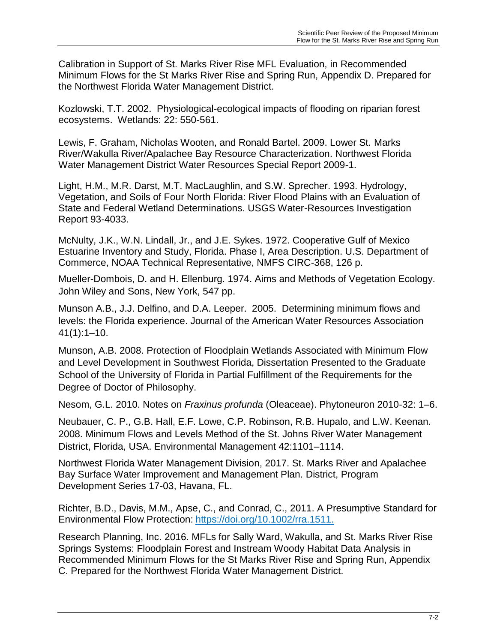Calibration in Support of St. Marks River Rise MFL Evaluation, in Recommended Minimum Flows for the St Marks River Rise and Spring Run, Appendix D. Prepared for the Northwest Florida Water Management District.

Kozlowski, T.T. 2002. Physiological-ecological impacts of flooding on riparian forest ecosystems. Wetlands: 22: 550-561.

Lewis, F. Graham, Nicholas Wooten, and Ronald Bartel. 2009. Lower St. Marks River/Wakulla River/Apalachee Bay Resource Characterization. Northwest Florida Water Management District Water Resources Special Report 2009-1.

Light, H.M., M.R. Darst, M.T. MacLaughlin, and S.W. Sprecher. 1993. Hydrology, Vegetation, and Soils of Four North Florida: River Flood Plains with an Evaluation of State and Federal Wetland Determinations. USGS Water-Resources Investigation Report 93-4033.

McNulty, J.K., W.N. Lindall, Jr., and J.E. Sykes. 1972. Cooperative Gulf of Mexico Estuarine Inventory and Study, Florida. Phase I, Area Description. U.S. Department of Commerce, NOAA Technical Representative, NMFS CIRC-368, 126 p.

Mueller-Dombois, D. and H. Ellenburg. 1974. Aims and Methods of Vegetation Ecology. John Wiley and Sons, New York, 547 pp.

Munson A.B., J.J. Delfino, and D.A. Leeper. 2005. Determining minimum flows and levels: the Florida experience. Journal of the American Water Resources Association 41(1):1–10.

Munson, A.B. 2008. Protection of Floodplain Wetlands Associated with Minimum Flow and Level Development in Southwest Florida, Dissertation Presented to the Graduate School of the University of Florida in Partial Fulfillment of the Requirements for the Degree of Doctor of Philosophy.

Nesom, G.L. 2010. Notes on *Fraxinus profunda* (Oleaceae). Phytoneuron 2010-32: 1–6.

Neubauer, C. P., G.B. Hall, E.F. Lowe, C.P. Robinson, R.B. Hupalo, and L.W. Keenan. 2008. Minimum Flows and Levels Method of the St. Johns River Water Management District, Florida, USA. Environmental Management 42:1101–1114.

Northwest Florida Water Management Division, 2017. St. Marks River and Apalachee Bay Surface Water Improvement and Management Plan. District, Program Development Series 17-03, Havana, FL.

Richter, B.D., Davis, M.M., Apse, C., and Conrad, C., 2011. A Presumptive Standard for Environmental Flow Protection: https://doi.org/10.1002/rra.1511.

Research Planning, Inc. 2016. MFLs for Sally Ward, Wakulla, and St. Marks River Rise Springs Systems: Floodplain Forest and Instream Woody Habitat Data Analysis in Recommended Minimum Flows for the St Marks River Rise and Spring Run, Appendix C. Prepared for the Northwest Florida Water Management District.